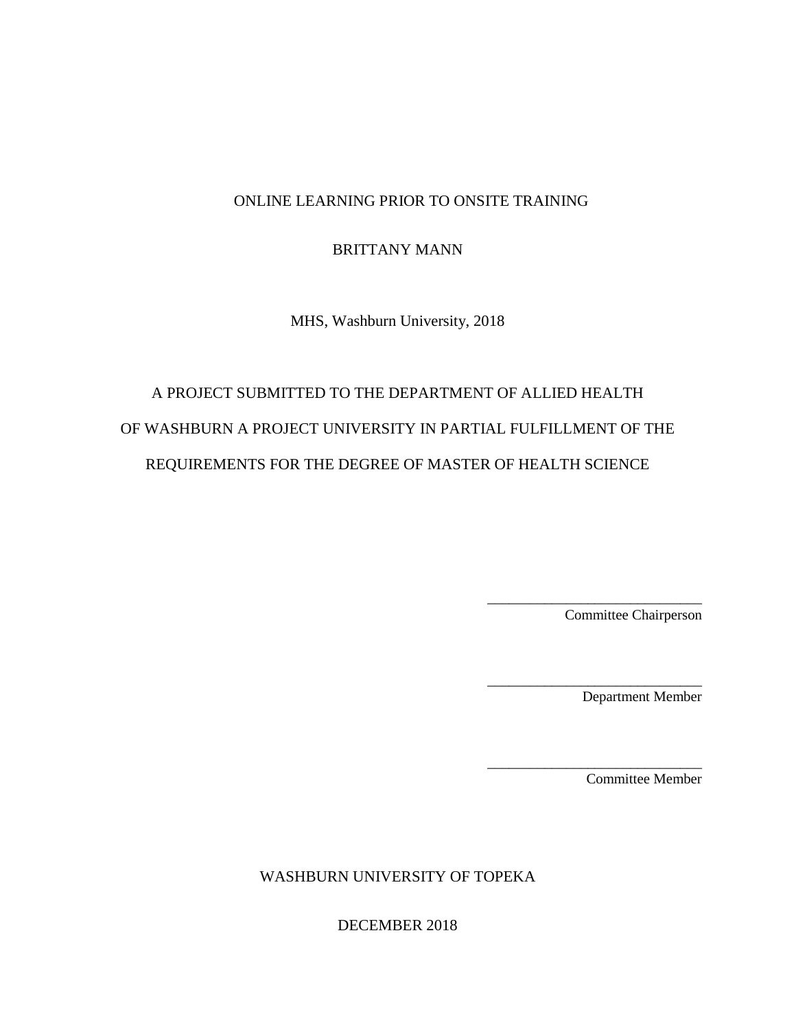# BRITTANY MANN

MHS, Washburn University, 2018

# A PROJECT SUBMITTED TO THE DEPARTMENT OF ALLIED HEALTH OF WASHBURN A PROJECT UNIVERSITY IN PARTIAL FULFILLMENT OF THE REQUIREMENTS FOR THE DEGREE OF MASTER OF HEALTH SCIENCE

Committee Chairperson

\_\_\_\_\_\_\_\_\_\_\_\_\_\_\_\_\_\_\_\_\_\_\_\_\_\_\_\_\_\_

\_\_\_\_\_\_\_\_\_\_\_\_\_\_\_\_\_\_\_\_\_\_\_\_\_\_\_\_\_\_

\_\_\_\_\_\_\_\_\_\_\_\_\_\_\_\_\_\_\_\_\_\_\_\_\_\_\_\_\_\_

Department Member

Committee Member

WASHBURN UNIVERSITY OF TOPEKA

DECEMBER 2018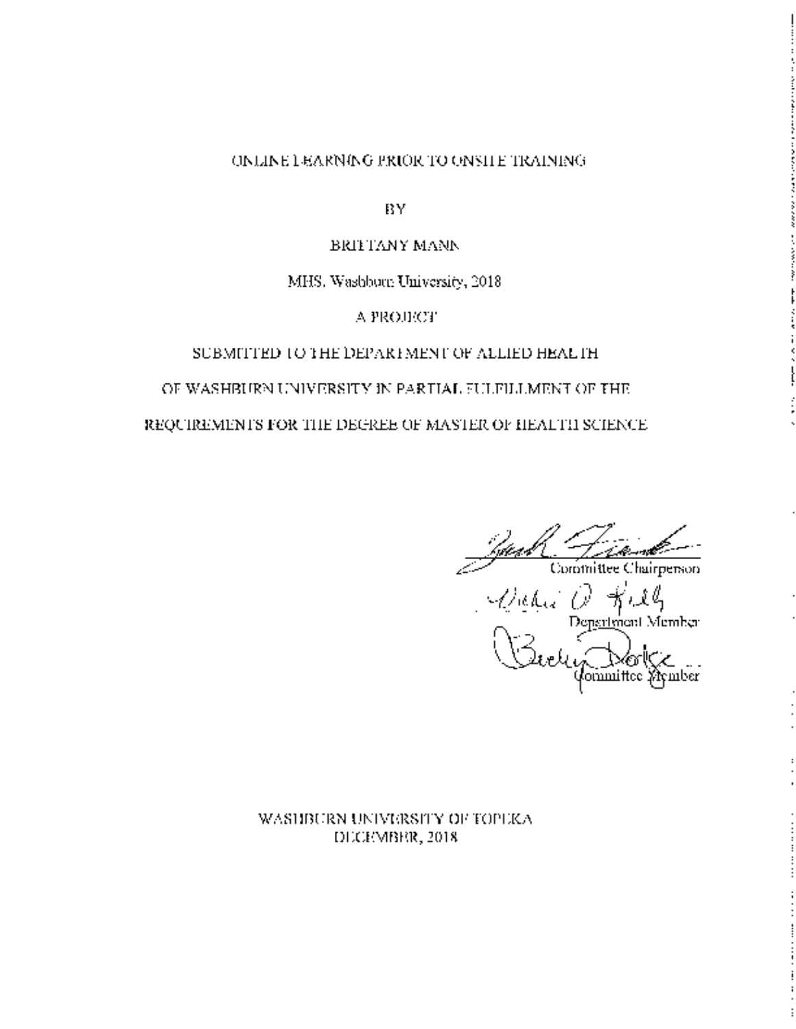**BY** 

#### **BRITTANY MANN**

#### MHS. Washborn University, 2018

А РКОЛСТ

#### SUBMITTED TO THE DEPARTMENT OF ALLIED HEALTH.

#### OF WASHBURN UNIVERSITY IN PARTIAL FULFILLMENT OF THE

#### REQUIREMENTS FOR THE DEGREE OF MASTER OF HEALTH SCIENCE.

Stead Committee Chairpenson<br>Committee Chairpenson<br>President Member<br>Carely Committee Symber

#### WASHBURN UNIVERSITY OF TOPEKA DECRMBRR, 2018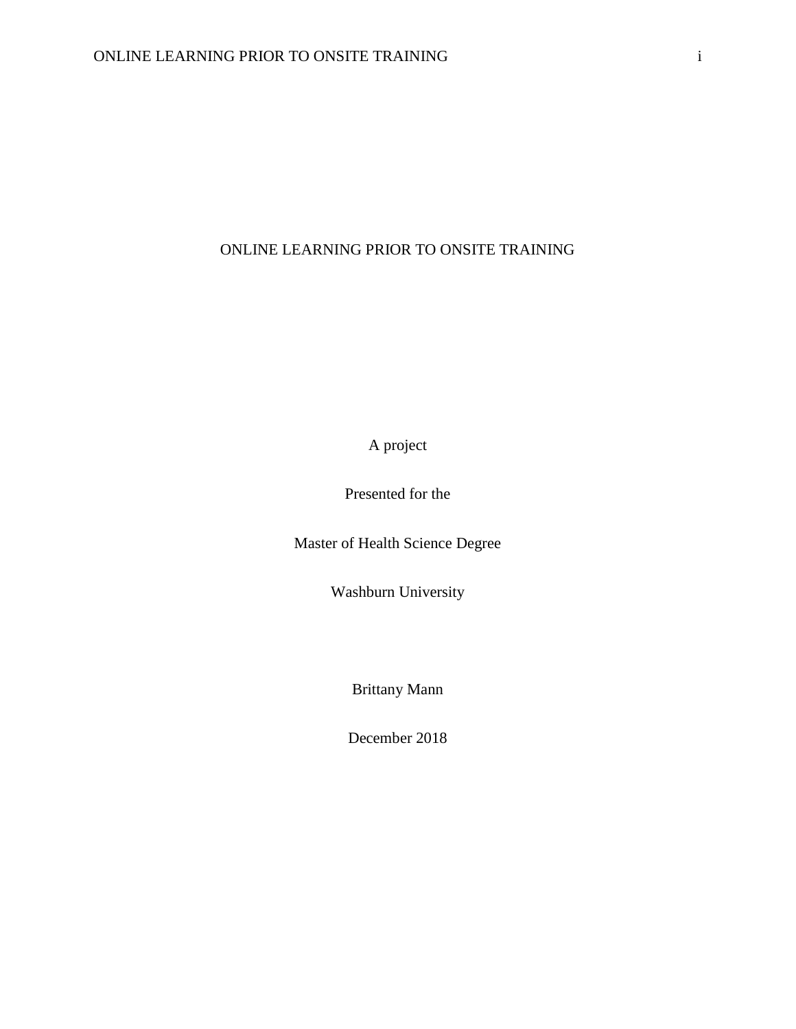A project

Presented for the

Master of Health Science Degree

Washburn University

Brittany Mann

December 2018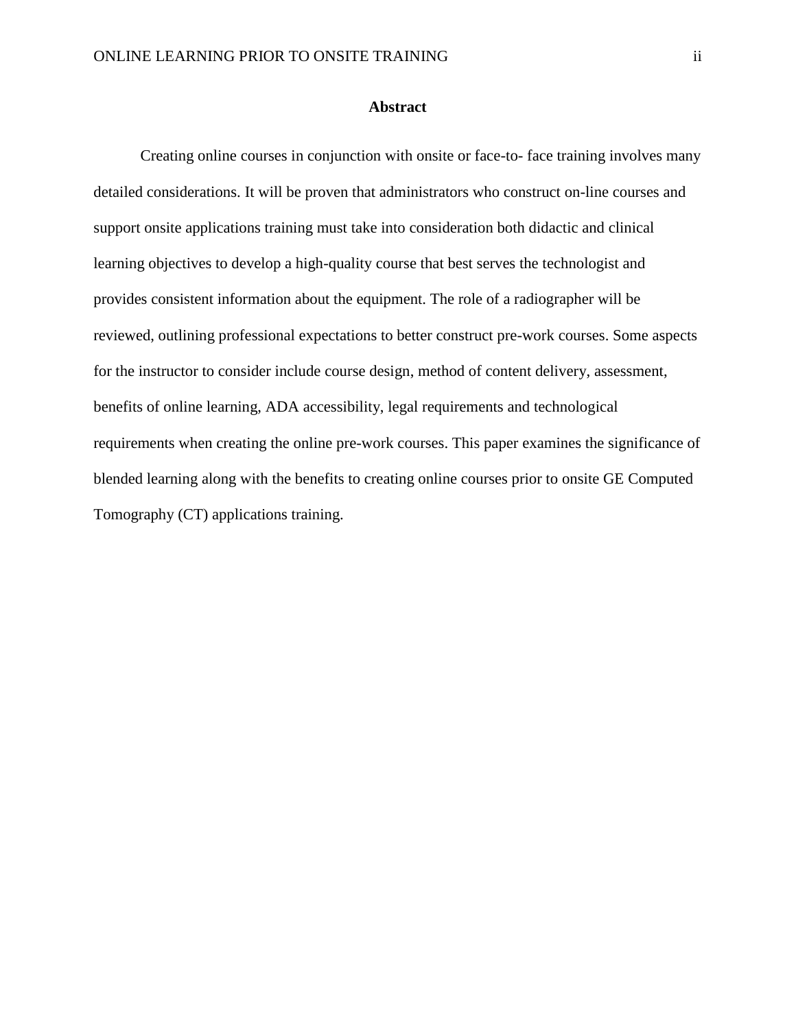#### **Abstract**

Creating online courses in conjunction with onsite or face-to- face training involves many detailed considerations. It will be proven that administrators who construct on-line courses and support onsite applications training must take into consideration both didactic and clinical learning objectives to develop a high-quality course that best serves the technologist and provides consistent information about the equipment. The role of a radiographer will be reviewed, outlining professional expectations to better construct pre-work courses. Some aspects for the instructor to consider include course design, method of content delivery, assessment, benefits of online learning, ADA accessibility, legal requirements and technological requirements when creating the online pre-work courses. This paper examines the significance of blended learning along with the benefits to creating online courses prior to onsite GE Computed Tomography (CT) applications training.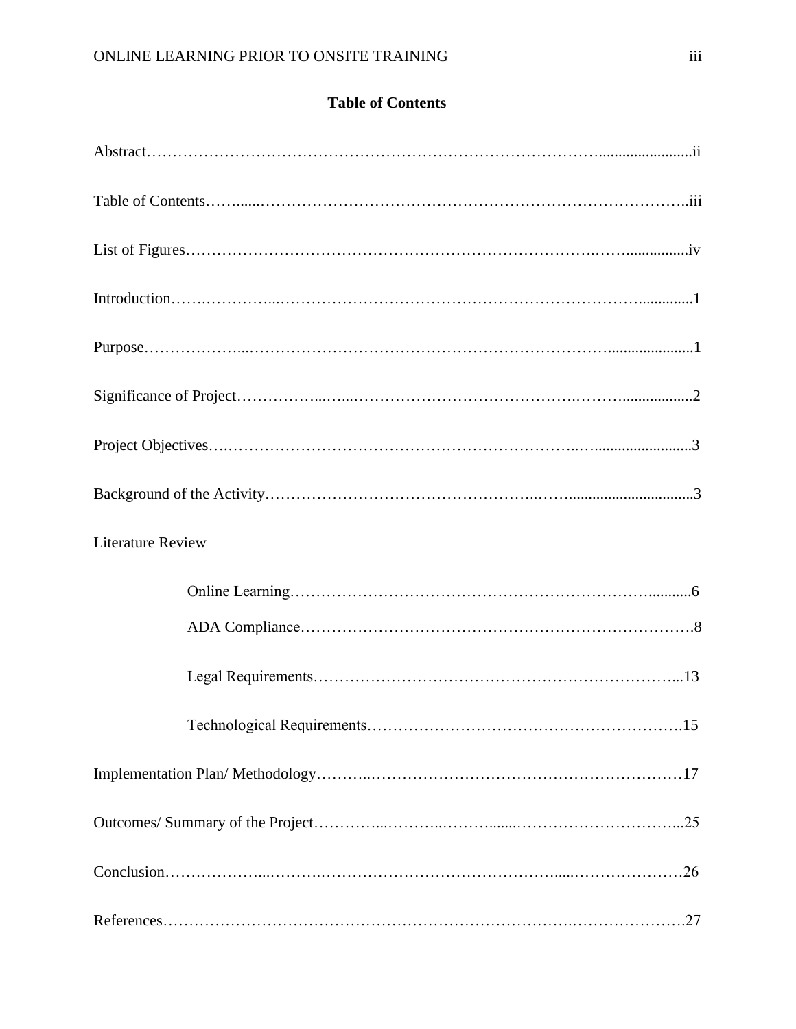|  | <b>Table of Contents</b> |  |
|--|--------------------------|--|
|  |                          |  |

| <b>Literature Review</b> |  |
|--------------------------|--|
|                          |  |
|                          |  |
|                          |  |
|                          |  |
|                          |  |
|                          |  |
|                          |  |
|                          |  |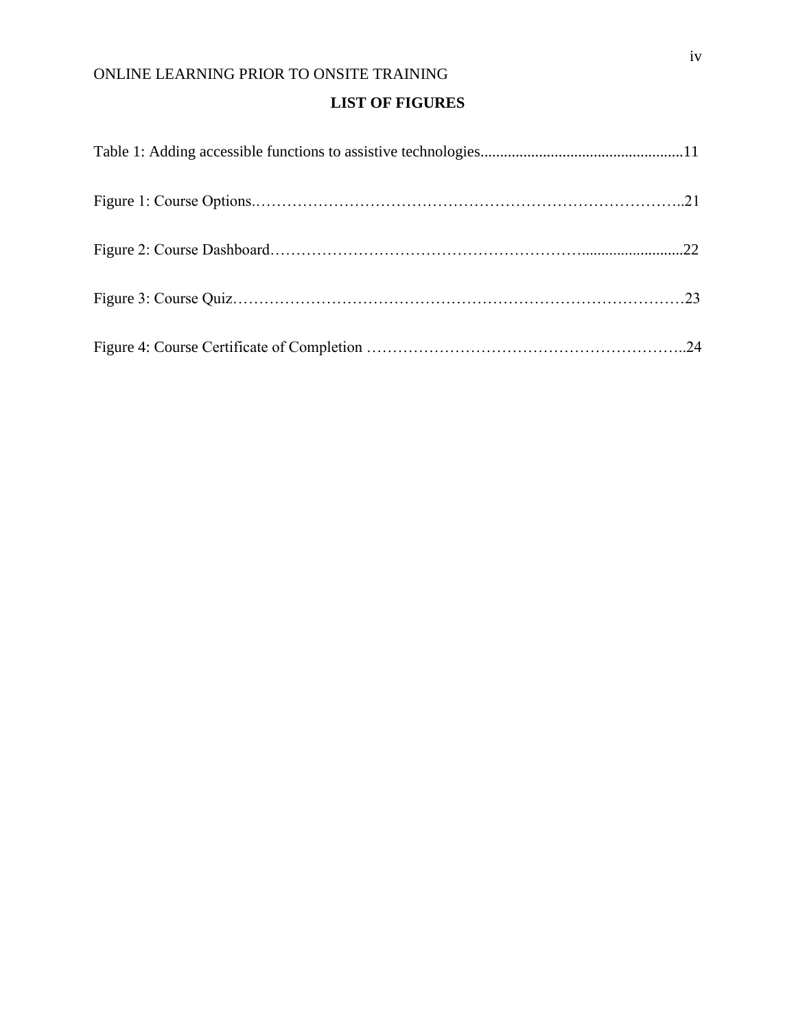# **LIST OF FIGURES**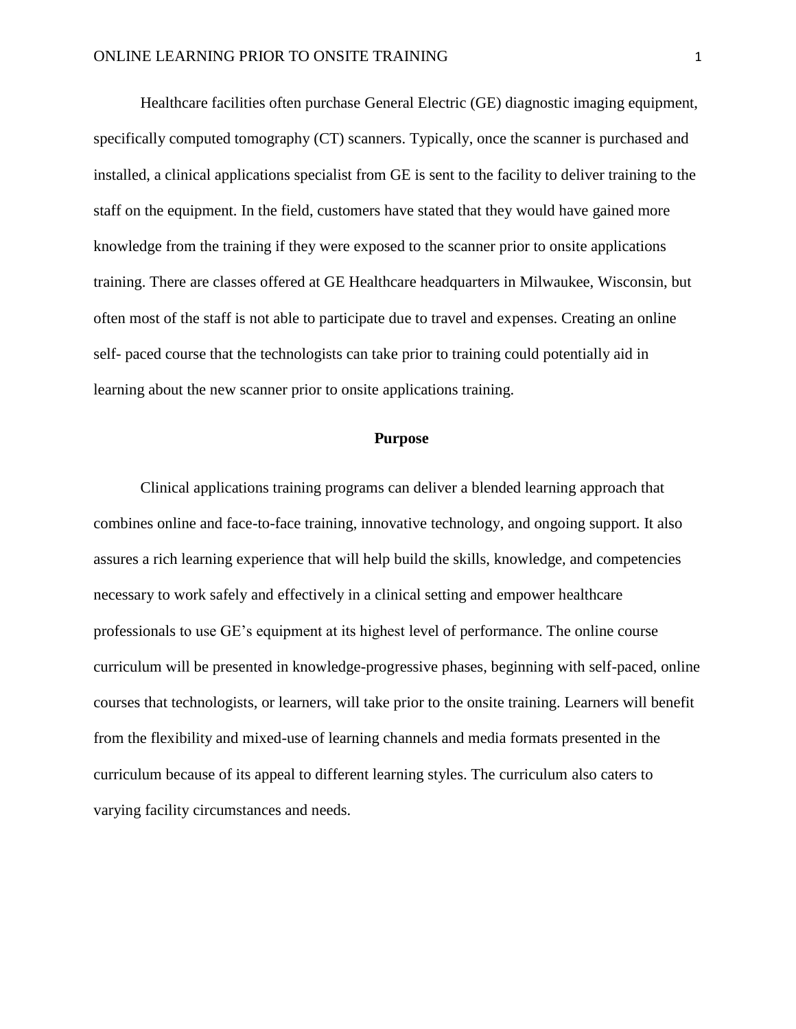Healthcare facilities often purchase General Electric (GE) diagnostic imaging equipment, specifically computed tomography (CT) scanners. Typically, once the scanner is purchased and installed, a clinical applications specialist from GE is sent to the facility to deliver training to the staff on the equipment. In the field, customers have stated that they would have gained more knowledge from the training if they were exposed to the scanner prior to onsite applications training. There are classes offered at GE Healthcare headquarters in Milwaukee, Wisconsin, but often most of the staff is not able to participate due to travel and expenses. Creating an online self- paced course that the technologists can take prior to training could potentially aid in learning about the new scanner prior to onsite applications training.

#### **Purpose**

Clinical applications training programs can deliver a blended learning approach that combines online and face-to-face training, innovative technology, and ongoing support. It also assures a rich learning experience that will help build the skills, knowledge, and competencies necessary to work safely and effectively in a clinical setting and empower healthcare professionals to use GE's equipment at its highest level of performance. The online course curriculum will be presented in knowledge-progressive phases, beginning with self-paced, online courses that technologists, or learners, will take prior to the onsite training. Learners will benefit from the flexibility and mixed-use of learning channels and media formats presented in the curriculum because of its appeal to different learning styles. The curriculum also caters to varying facility circumstances and needs.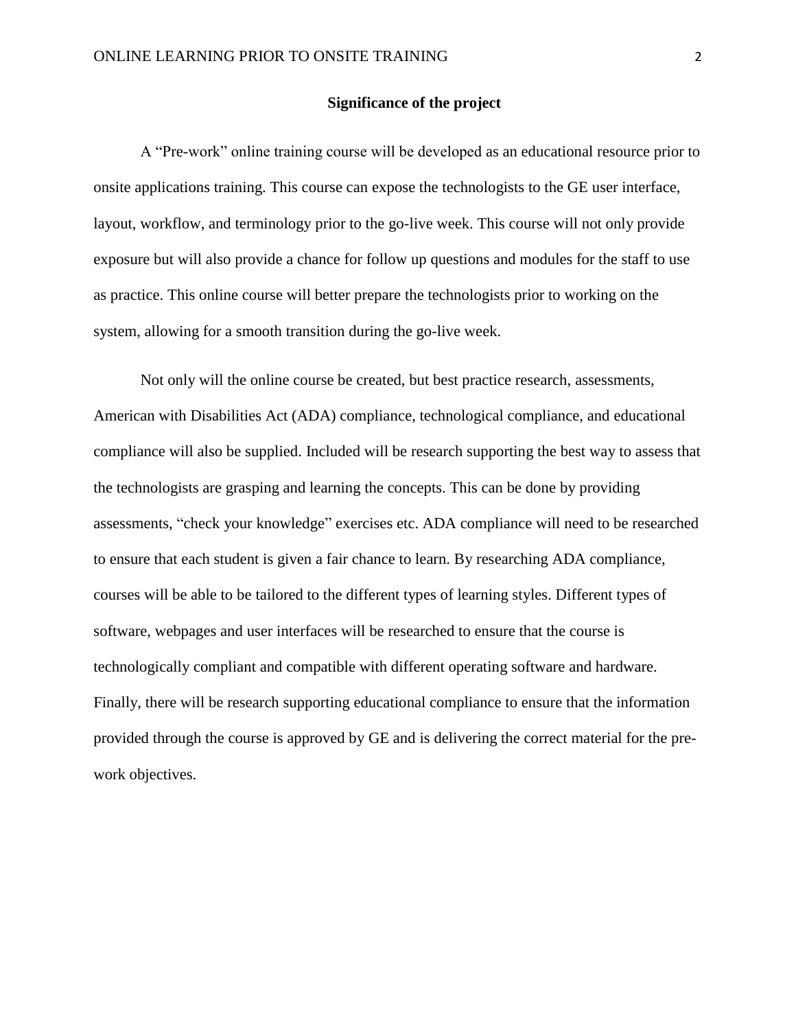#### **Significance of the project**

A "Pre-work" online training course will be developed as an educational resource prior to onsite applications training. This course can expose the technologists to the GE user interface, layout, workflow, and terminology prior to the go-live week. This course will not only provide exposure but will also provide a chance for follow up questions and modules for the staff to use as practice. This online course will better prepare the technologists prior to working on the system, allowing for a smooth transition during the go-live week.

Not only will the online course be created, but best practice research, assessments, American with Disabilities Act (ADA) compliance, technological compliance, and educational compliance will also be supplied. Included will be research supporting the best way to assess that the technologists are grasping and learning the concepts. This can be done by providing assessments, "check your knowledge" exercises etc. ADA compliance will need to be researched to ensure that each student is given a fair chance to learn. By researching ADA compliance, courses will be able to be tailored to the different types of learning styles. Different types of software, webpages and user interfaces will be researched to ensure that the course is technologically compliant and compatible with different operating software and hardware. Finally, there will be research supporting educational compliance to ensure that the information provided through the course is approved by GE and is delivering the correct material for the prework objectives.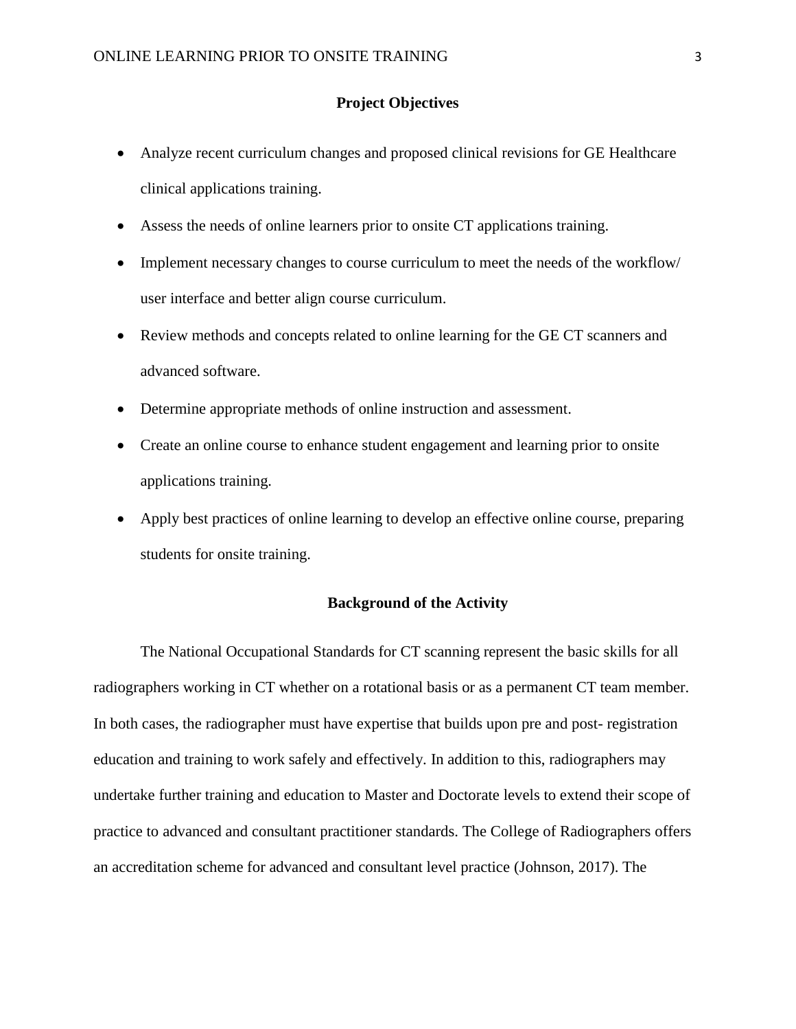## **Project Objectives**

- Analyze recent curriculum changes and proposed clinical revisions for GE Healthcare clinical applications training.
- Assess the needs of online learners prior to onsite CT applications training.
- Implement necessary changes to course curriculum to meet the needs of the workflow/ user interface and better align course curriculum.
- Review methods and concepts related to online learning for the GE CT scanners and advanced software.
- Determine appropriate methods of online instruction and assessment.
- Create an online course to enhance student engagement and learning prior to onsite applications training.
- Apply best practices of online learning to develop an effective online course, preparing students for onsite training.

## **Background of the Activity**

The National Occupational Standards for CT scanning represent the basic skills for all radiographers working in CT whether on a rotational basis or as a permanent CT team member. In both cases, the radiographer must have expertise that builds upon pre and post- registration education and training to work safely and effectively. In addition to this, radiographers may undertake further training and education to Master and Doctorate levels to extend their scope of practice to advanced and consultant practitioner standards. The College of Radiographers offers an accreditation scheme for advanced and consultant level practice (Johnson, 2017). The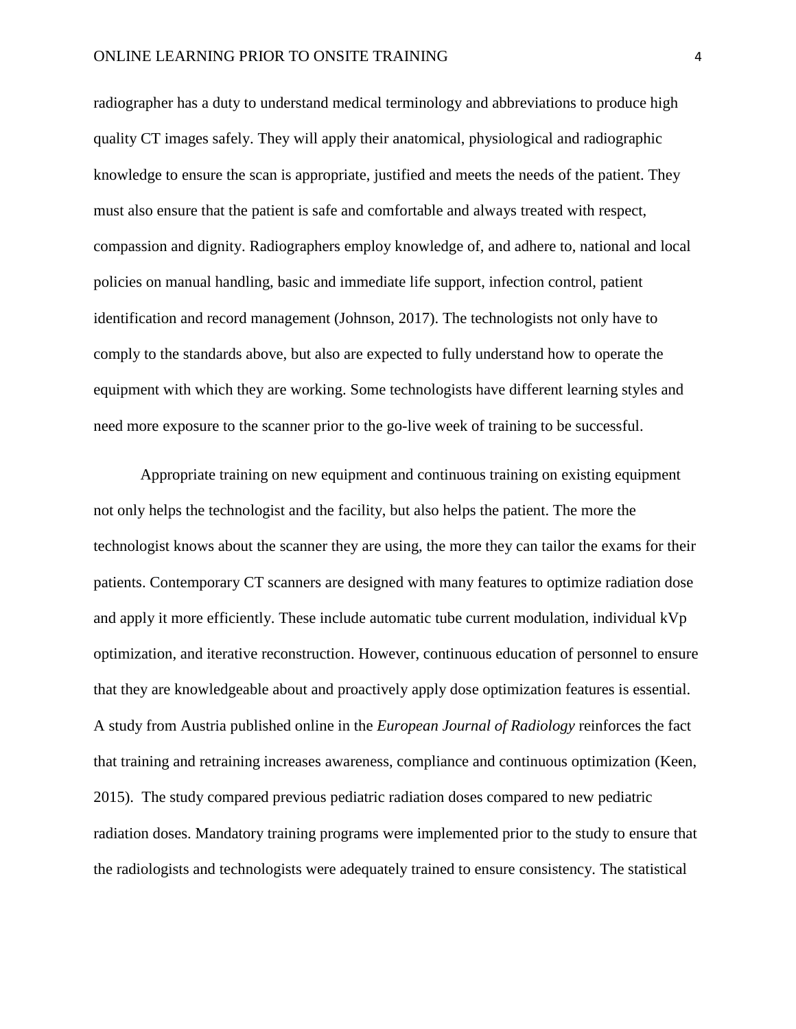radiographer has a duty to understand medical terminology and abbreviations to produce high quality CT images safely. They will apply their anatomical, physiological and radiographic knowledge to ensure the scan is appropriate, justified and meets the needs of the patient. They must also ensure that the patient is safe and comfortable and always treated with respect, compassion and dignity. Radiographers employ knowledge of, and adhere to, national and local policies on manual handling, basic and immediate life support, infection control, patient identification and record management (Johnson, 2017). The technologists not only have to comply to the standards above, but also are expected to fully understand how to operate the equipment with which they are working. Some technologists have different learning styles and need more exposure to the scanner prior to the go-live week of training to be successful.

Appropriate training on new equipment and continuous training on existing equipment not only helps the technologist and the facility, but also helps the patient. The more the technologist knows about the scanner they are using, the more they can tailor the exams for their patients. Contemporary CT scanners are designed with many features to optimize radiation dose and apply it more efficiently. These include automatic tube current modulation, individual kVp optimization, and iterative reconstruction. However, continuous education of personnel to ensure that they are knowledgeable about and proactively apply dose optimization features is essential. A study from Austria published online in the *European Journal of Radiology* reinforces the fact that training and retraining increases awareness, compliance and continuous optimization (Keen, 2015). The study compared previous pediatric radiation doses compared to new pediatric radiation doses. Mandatory training programs were implemented prior to the study to ensure that the radiologists and technologists were adequately trained to ensure consistency. The statistical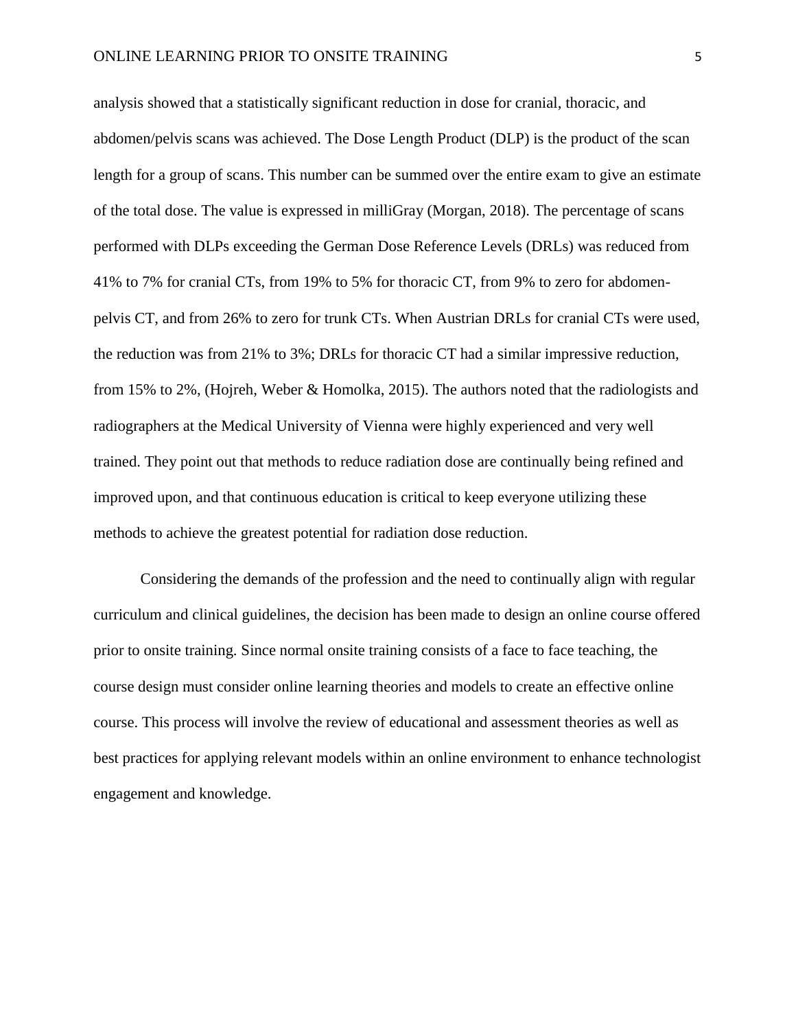analysis showed that a statistically significant reduction in dose for cranial, thoracic, and abdomen/pelvis scans was achieved. The Dose Length Product (DLP) is the product of the scan length for a group of scans. This number can be summed over the entire exam to give an estimate of the total dose. The value is expressed in milliGray (Morgan, 2018). The percentage of scans performed with DLPs exceeding the German Dose Reference Levels (DRLs) was reduced from 41% to 7% for cranial CTs, from 19% to 5% for thoracic CT, from 9% to zero for abdomenpelvis CT, and from 26% to zero for trunk CTs. When Austrian DRLs for cranial CTs were used, the reduction was from 21% to 3%; DRLs for thoracic CT had a similar impressive reduction, from 15% to 2%, (Hojreh, Weber & Homolka, 2015). The authors noted that the radiologists and radiographers at the Medical University of Vienna were highly experienced and very well trained. They point out that methods to reduce radiation dose are continually being refined and improved upon, and that continuous education is critical to keep everyone utilizing these methods to achieve the greatest potential for radiation dose reduction.

Considering the demands of the profession and the need to continually align with regular curriculum and clinical guidelines, the decision has been made to design an online course offered prior to onsite training. Since normal onsite training consists of a face to face teaching, the course design must consider online learning theories and models to create an effective online course. This process will involve the review of educational and assessment theories as well as best practices for applying relevant models within an online environment to enhance technologist engagement and knowledge.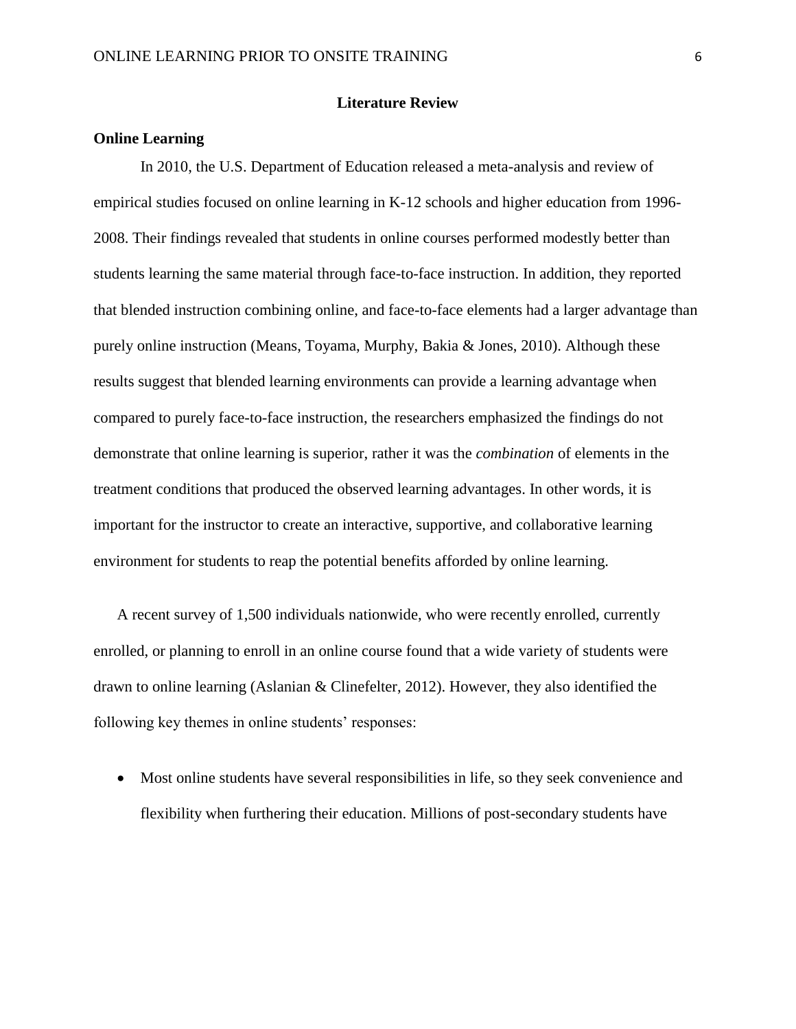#### **Literature Review**

## **Online Learning**

In 2010, the U.S. Department of Education released a meta-analysis and review of empirical studies focused on online learning in K-12 schools and higher education from 1996- 2008. Their findings revealed that students in online courses performed modestly better than students learning the same material through face-to-face instruction. In addition, they reported that blended instruction combining online, and face-to-face elements had a larger advantage than purely online instruction (Means, Toyama, Murphy, Bakia & Jones, 2010). Although these results suggest that blended learning environments can provide a learning advantage when compared to purely face-to-face instruction, the researchers emphasized the findings do not demonstrate that online learning is superior, rather it was the *combination* of elements in the treatment conditions that produced the observed learning advantages. In other words, it is important for the instructor to create an interactive, supportive, and collaborative learning environment for students to reap the potential benefits afforded by online learning.

A recent survey of 1,500 individuals nationwide, who were recently enrolled, currently enrolled, or planning to enroll in an online course found that a wide variety of students were drawn to online learning (Aslanian & Clinefelter, 2012). However, they also identified the following key themes in online students' responses:

• Most online students have several responsibilities in life, so they seek convenience and flexibility when furthering their education. Millions of post-secondary students have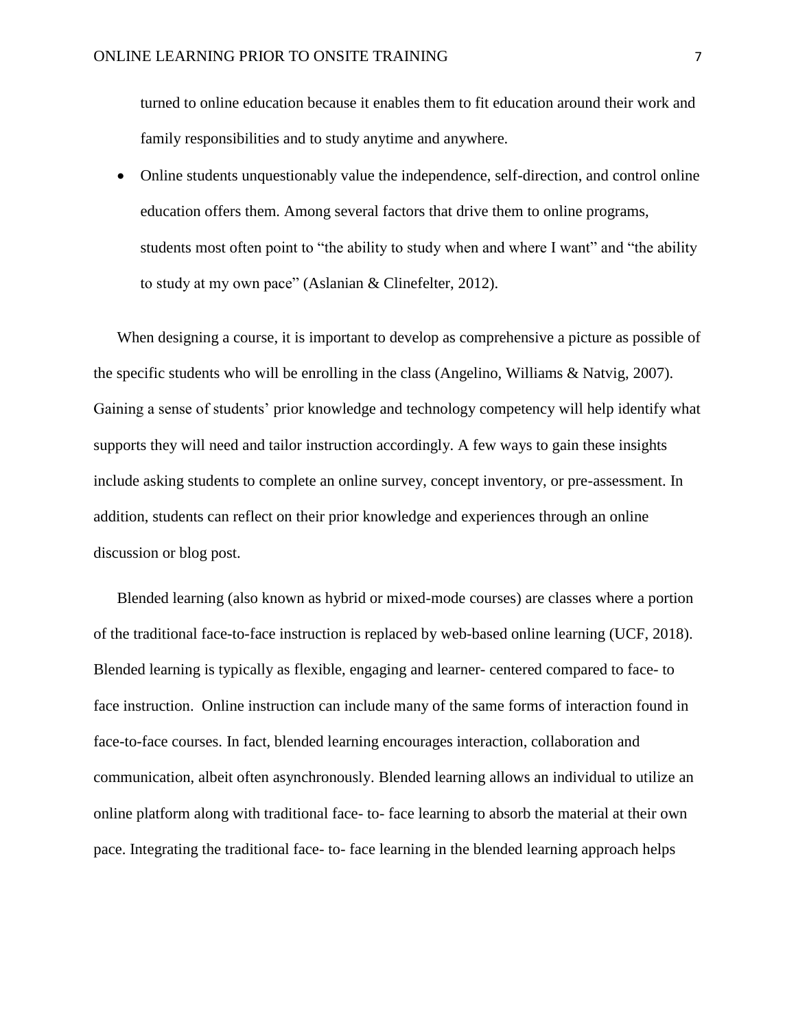turned to online education because it enables them to fit education around their work and family responsibilities and to study anytime and anywhere.

• Online students unquestionably value the independence, self-direction, and control online education offers them. Among several factors that drive them to online programs, students most often point to "the ability to study when and where I want" and "the ability to study at my own pace" (Aslanian & Clinefelter, 2012).

When designing a course, it is important to develop as comprehensive a picture as possible of the specific students who will be enrolling in the class (Angelino, Williams & Natvig, 2007). Gaining a sense of students' prior knowledge and technology competency will help identify what supports they will need and tailor instruction accordingly. A few ways to gain these insights include asking students to complete an online survey, concept inventory, or pre-assessment. In addition, students can reflect on their prior knowledge and experiences through an online discussion or blog post.

Blended learning (also known as hybrid or mixed-mode courses) are classes where a portion of the traditional face-to-face instruction is replaced by web-based online learning (UCF, 2018). Blended learning is typically as flexible, engaging and learner- centered compared to face- to face instruction. Online instruction can include many of the same forms of interaction found in face-to-face courses. In fact, blended learning encourages interaction, collaboration and communication, albeit often asynchronously. Blended learning allows an individual to utilize an online platform along with traditional face- to- face learning to absorb the material at their own pace. Integrating the traditional face- to- face learning in the blended learning approach helps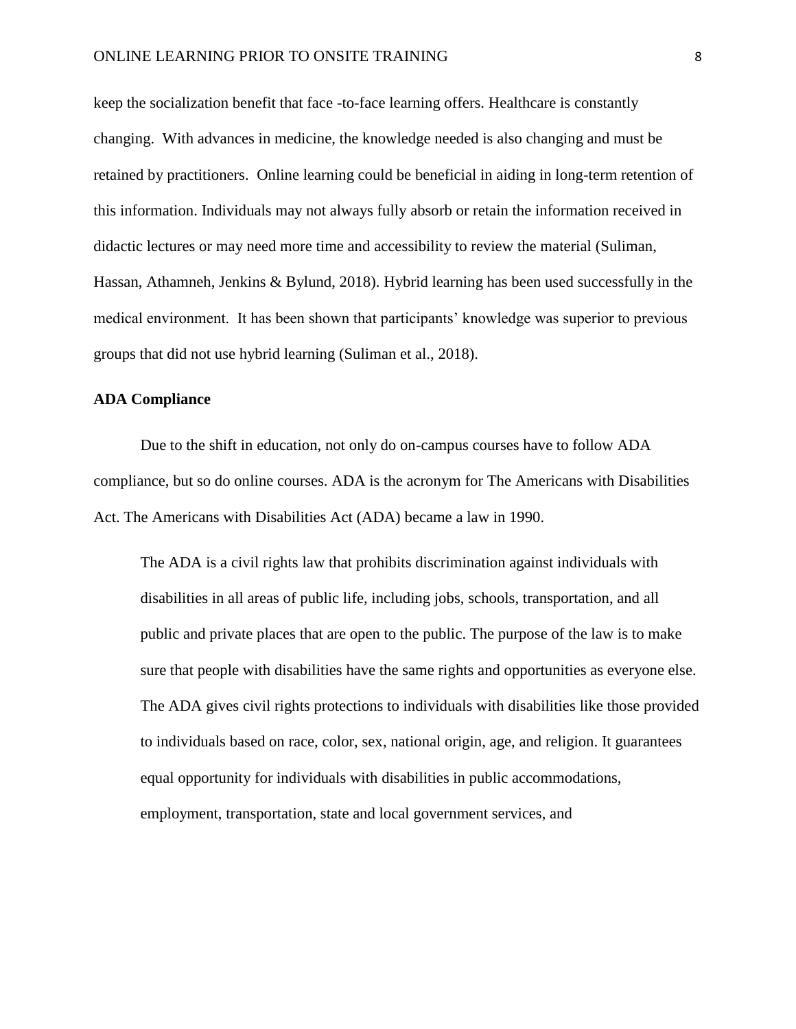keep the socialization benefit that face -to-face learning offers. Healthcare is constantly changing. With advances in medicine, the knowledge needed is also changing and must be retained by practitioners. Online learning could be beneficial in aiding in long-term retention of this information. Individuals may not always fully absorb or retain the information received in didactic lectures or may need more time and accessibility to review the material (Suliman, Hassan, Athamneh, Jenkins & Bylund, 2018). Hybrid learning has been used successfully in the medical environment. It has been shown that participants' knowledge was superior to previous groups that did not use hybrid learning (Suliman et al., 2018).

#### **ADA Compliance**

Due to the shift in education, not only do on-campus courses have to follow ADA compliance, but so do online courses. ADA is the acronym for The Americans with Disabilities Act. The Americans with Disabilities Act (ADA) became a law in 1990.

The ADA is a civil rights law that prohibits discrimination against individuals with disabilities in all areas of public life, including jobs, schools, transportation, and all public and private places that are open to the public. The purpose of the law is to make sure that people with disabilities have the same rights and opportunities as everyone else. The ADA gives civil rights protections to individuals with disabilities like those provided to individuals based on race, color, sex, national origin, age, and religion. It guarantees equal opportunity for individuals with disabilities in public accommodations, employment, transportation, state and local government services, and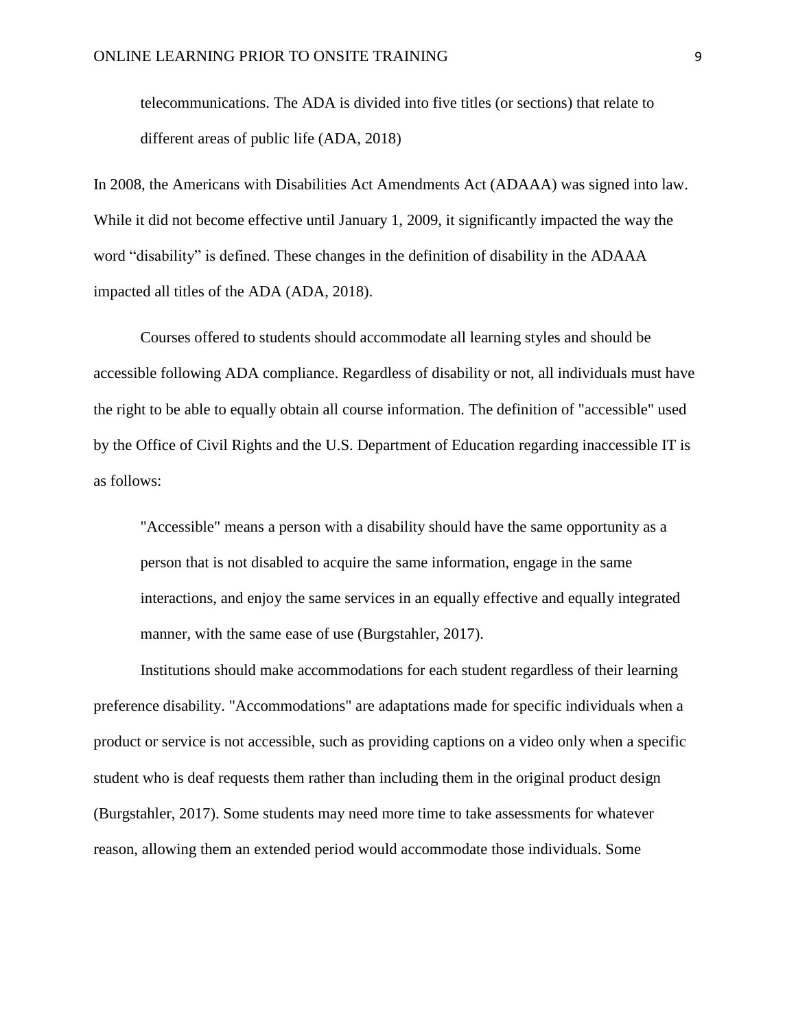telecommunications. The ADA is divided into five titles (or sections) that relate to different areas of public life (ADA, 2018)

In 2008, the Americans with Disabilities Act Amendments Act (ADAAA) was signed into law. While it did not become effective until January 1, 2009, it significantly impacted the way the word "disability" is defined. These changes in the definition of disability in the ADAAA impacted all titles of the ADA (ADA, 2018).

Courses offered to students should accommodate all learning styles and should be accessible following ADA compliance. Regardless of disability or not, all individuals must have the right to be able to equally obtain all course information. The definition of "accessible" used by the Office of Civil Rights and the U.S. Department of Education regarding inaccessible IT is as follows:

"Accessible" means a person with a disability should have the same opportunity as a person that is not disabled to acquire the same information, engage in the same interactions, and enjoy the same services in an equally effective and equally integrated manner, with the same ease of use (Burgstahler, 2017).

Institutions should make accommodations for each student regardless of their learning preference disability. "Accommodations" are adaptations made for specific individuals when a product or service is not accessible, such as providing captions on a video only when a specific student who is deaf requests them rather than including them in the original product design (Burgstahler, 2017). Some students may need more time to take assessments for whatever reason, allowing them an extended period would accommodate those individuals. Some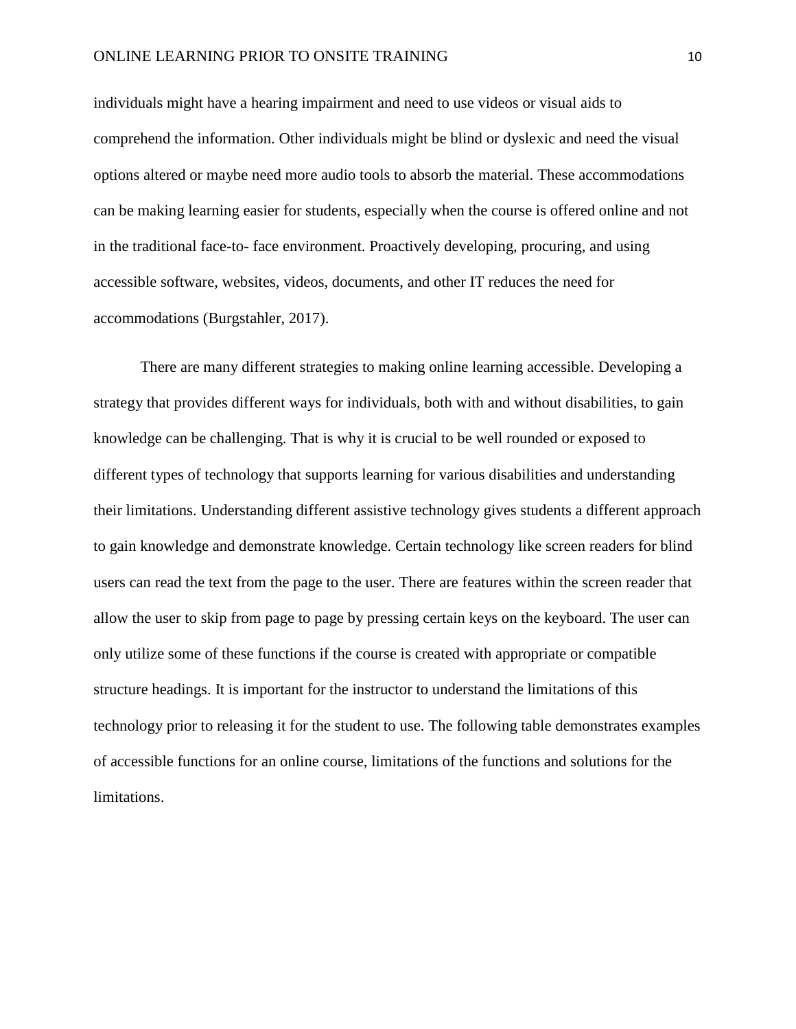individuals might have a hearing impairment and need to use videos or visual aids to comprehend the information. Other individuals might be blind or dyslexic and need the visual options altered or maybe need more audio tools to absorb the material. These accommodations can be making learning easier for students, especially when the course is offered online and not in the traditional face-to- face environment. Proactively developing, procuring, and using accessible software, websites, videos, documents, and other IT reduces the need for accommodations (Burgstahler, 2017).

There are many different strategies to making online learning accessible. Developing a strategy that provides different ways for individuals, both with and without disabilities, to gain knowledge can be challenging. That is why it is crucial to be well rounded or exposed to different types of technology that supports learning for various disabilities and understanding their limitations. Understanding different assistive technology gives students a different approach to gain knowledge and demonstrate knowledge. Certain technology like screen readers for blind users can read the text from the page to the user. There are features within the screen reader that allow the user to skip from page to page by pressing certain keys on the keyboard. The user can only utilize some of these functions if the course is created with appropriate or compatible structure headings. It is important for the instructor to understand the limitations of this technology prior to releasing it for the student to use. The following table demonstrates examples of accessible functions for an online course, limitations of the functions and solutions for the limitations.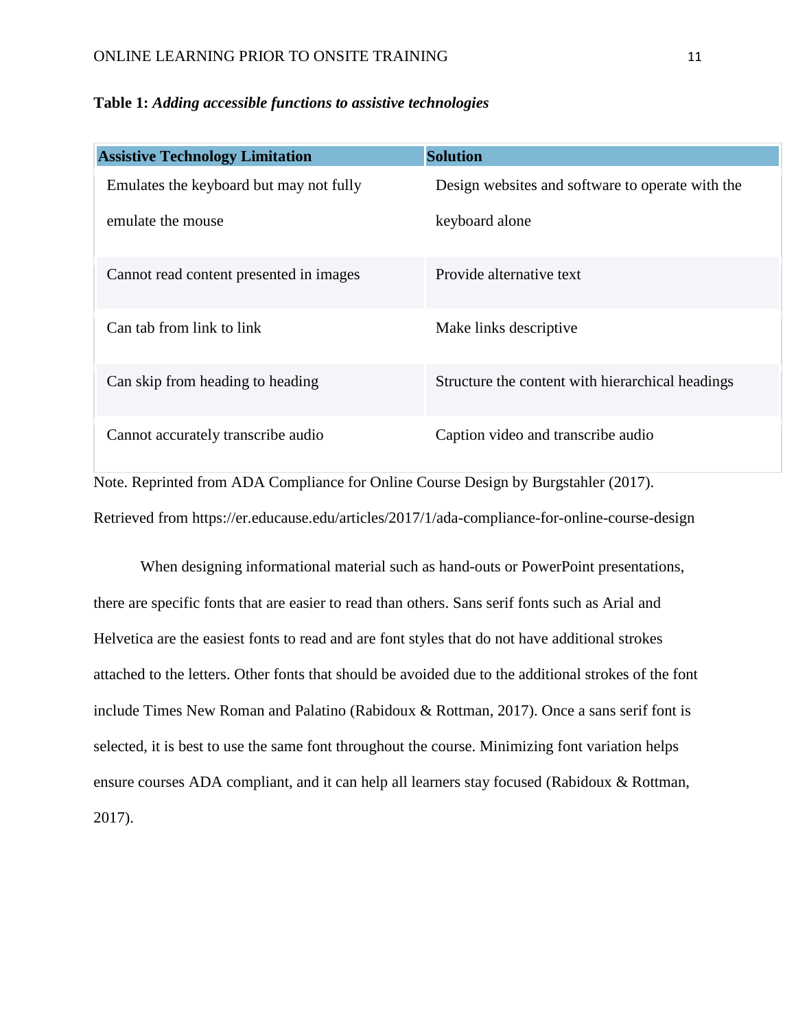## **Table 1:** *Adding accessible functions to assistive technologies*

| <b>Assistive Technology Limitation</b>                                                         | <b>Solution</b>                                  |  |  |
|------------------------------------------------------------------------------------------------|--------------------------------------------------|--|--|
| Emulates the keyboard but may not fully                                                        | Design websites and software to operate with the |  |  |
| emulate the mouse                                                                              | keyboard alone                                   |  |  |
| Cannot read content presented in images                                                        | Provide alternative text                         |  |  |
| Can tab from link to link                                                                      | Make links descriptive                           |  |  |
| Can skip from heading to heading                                                               | Structure the content with hierarchical headings |  |  |
| Cannot accurately transcribe audio                                                             | Caption video and transcribe audio               |  |  |
| Note. Reprinted from ADA Compliance for Online Course Design by Burgstahler (2017).            |                                                  |  |  |
| Retrieved from https://er.educause.edu/articles/2017/1/ada-compliance-for-online-course-design |                                                  |  |  |

When designing informational material such as hand-outs or PowerPoint presentations, there are specific fonts that are easier to read than others. Sans serif fonts such as Arial and Helvetica are the easiest fonts to read and are font styles that do not have additional strokes attached to the letters. Other fonts that should be avoided due to the additional strokes of the font include Times New Roman and Palatino (Rabidoux & Rottman, 2017). Once a sans serif font is selected, it is best to use the same font throughout the course. Minimizing font variation helps ensure courses ADA compliant, and it can help all learners stay focused (Rabidoux & Rottman, 2017).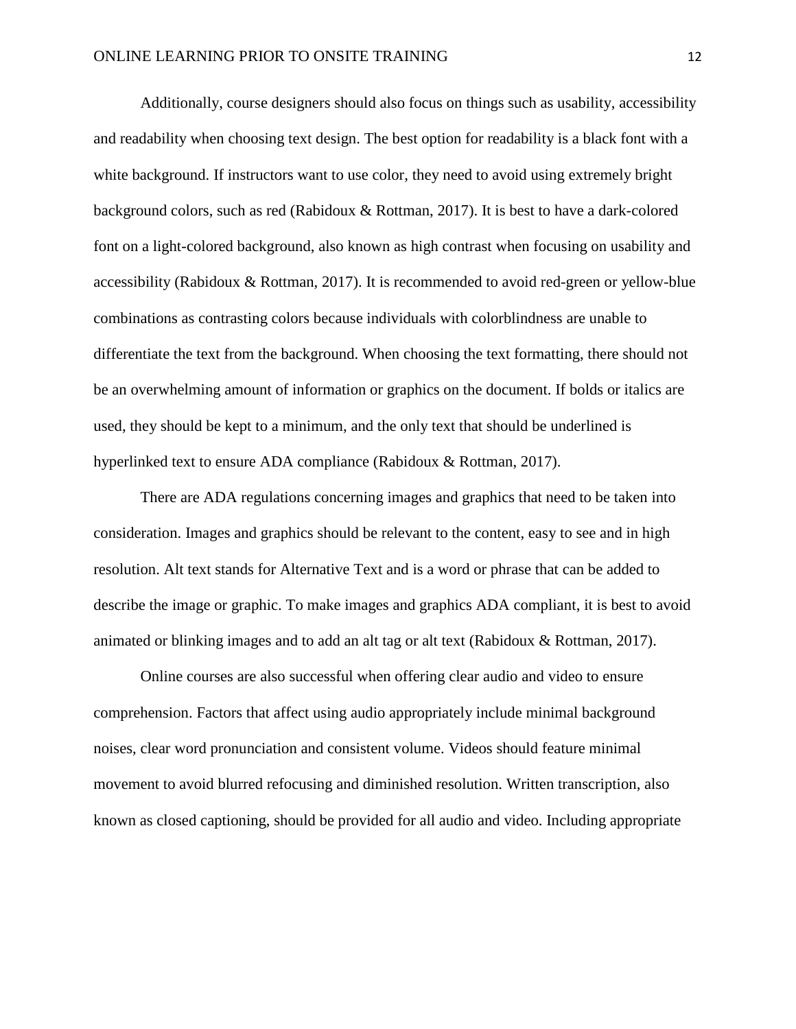Additionally, course designers should also focus on things such as usability, accessibility and readability when choosing text design. The best option for readability is a black font with a white background. If instructors want to use color, they need to avoid using extremely bright background colors, such as red (Rabidoux & Rottman, 2017). It is best to have a dark-colored font on a light-colored background, also known as high contrast when focusing on usability and accessibility (Rabidoux & Rottman, 2017). It is recommended to avoid red-green or yellow-blue combinations as contrasting colors because individuals with colorblindness are unable to differentiate the text from the background. When choosing the text formatting, there should not be an overwhelming amount of information or graphics on the document. If bolds or italics are used, they should be kept to a minimum, and the only text that should be underlined is hyperlinked text to ensure ADA compliance (Rabidoux & Rottman, 2017).

There are ADA regulations concerning images and graphics that need to be taken into consideration. Images and graphics should be relevant to the content, easy to see and in high resolution. Alt text stands for Alternative Text and is a word or phrase that can be added to describe the image or graphic. To make images and graphics ADA compliant, it is best to avoid animated or blinking images and to add an alt tag or alt text (Rabidoux & Rottman, 2017).

Online courses are also successful when offering clear audio and video to ensure comprehension. Factors that affect using audio appropriately include minimal background noises, clear word pronunciation and consistent volume. Videos should feature minimal movement to avoid blurred refocusing and diminished resolution. Written transcription, also known as closed captioning, should be provided for all audio and video. Including appropriate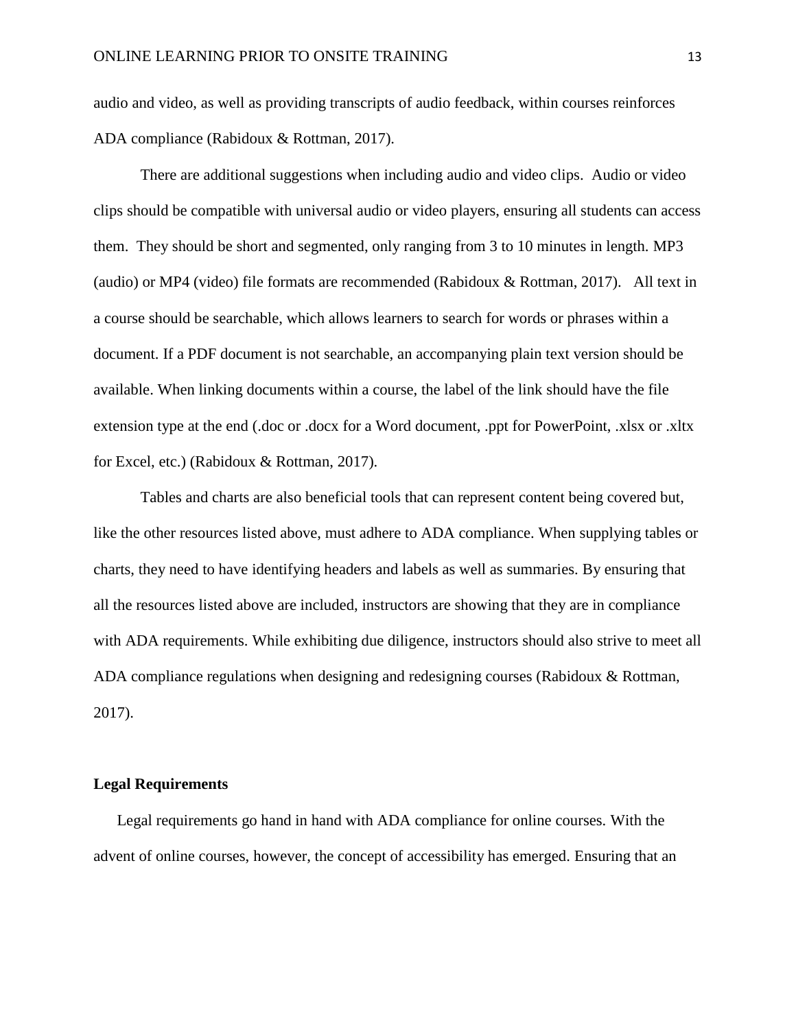audio and video, as well as providing transcripts of audio feedback, within courses reinforces ADA compliance (Rabidoux & Rottman, 2017).

There are additional suggestions when including audio and video clips. Audio or video clips should be compatible with universal audio or video players, ensuring all students can access them. They should be short and segmented, only ranging from 3 to 10 minutes in length. MP3 (audio) or MP4 (video) file formats are recommended (Rabidoux & Rottman, 2017). All text in a course should be searchable, which allows learners to search for words or phrases within a document. If a PDF document is not searchable, an accompanying plain text version should be available. When linking documents within a course, the label of the link should have the file extension type at the end (.doc or .docx for a Word document, .ppt for PowerPoint, .xlsx or .xltx for Excel, etc.) (Rabidoux & Rottman, 2017).

Tables and charts are also beneficial tools that can represent content being covered but, like the other resources listed above, must adhere to ADA compliance. When supplying tables or charts, they need to have identifying headers and labels as well as summaries. By ensuring that all the resources listed above are included, instructors are showing that they are in compliance with ADA requirements. While exhibiting due diligence, instructors should also strive to meet all ADA compliance regulations when designing and redesigning courses (Rabidoux & Rottman, 2017).

## **Legal Requirements**

Legal requirements go hand in hand with ADA compliance for online courses. With the advent of online courses, however, the concept of accessibility has emerged. Ensuring that an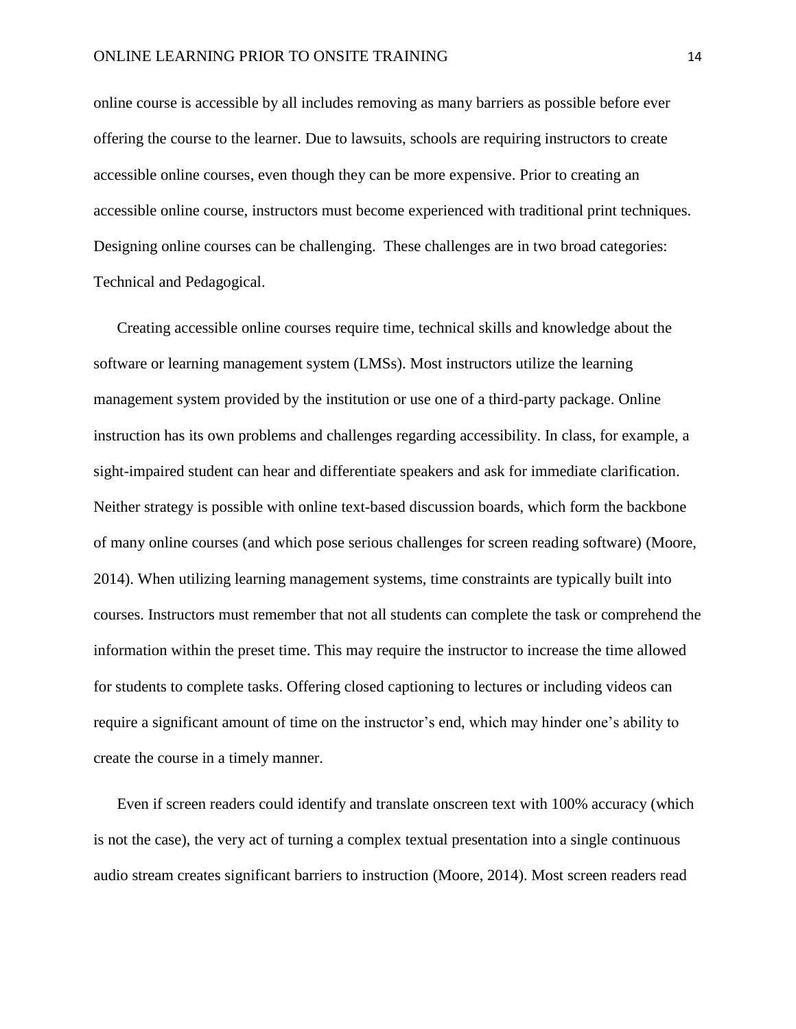online course is accessible by all includes removing as many barriers as possible before ever offering the course to the learner. Due to lawsuits, schools are requiring instructors to create accessible online courses, even though they can be more expensive. Prior to creating an accessible online course, instructors must become experienced with traditional print techniques. Designing online courses can be challenging. These challenges are in two broad categories: Technical and Pedagogical.

Creating accessible online courses require time, technical skills and knowledge about the software or learning management system (LMSs). Most instructors utilize the learning management system provided by the institution or use one of a third-party package. Online instruction has its own problems and challenges regarding accessibility. In class, for example, a sight-impaired student can hear and differentiate speakers and ask for immediate clarification. Neither strategy is possible with online text-based discussion boards, which form the backbone of many online courses (and which pose serious challenges for screen reading software) (Moore, 2014). When utilizing learning management systems, time constraints are typically built into courses. Instructors must remember that not all students can complete the task or comprehend the information within the preset time. This may require the instructor to increase the time allowed for students to complete tasks. Offering closed captioning to lectures or including videos can require a significant amount of time on the instructor's end, which may hinder one's ability to create the course in a timely manner.

Even if screen readers could identify and translate onscreen text with 100% accuracy (which is not the case), the very act of turning a complex textual presentation into a single continuous audio stream creates significant barriers to instruction (Moore, 2014). Most screen readers read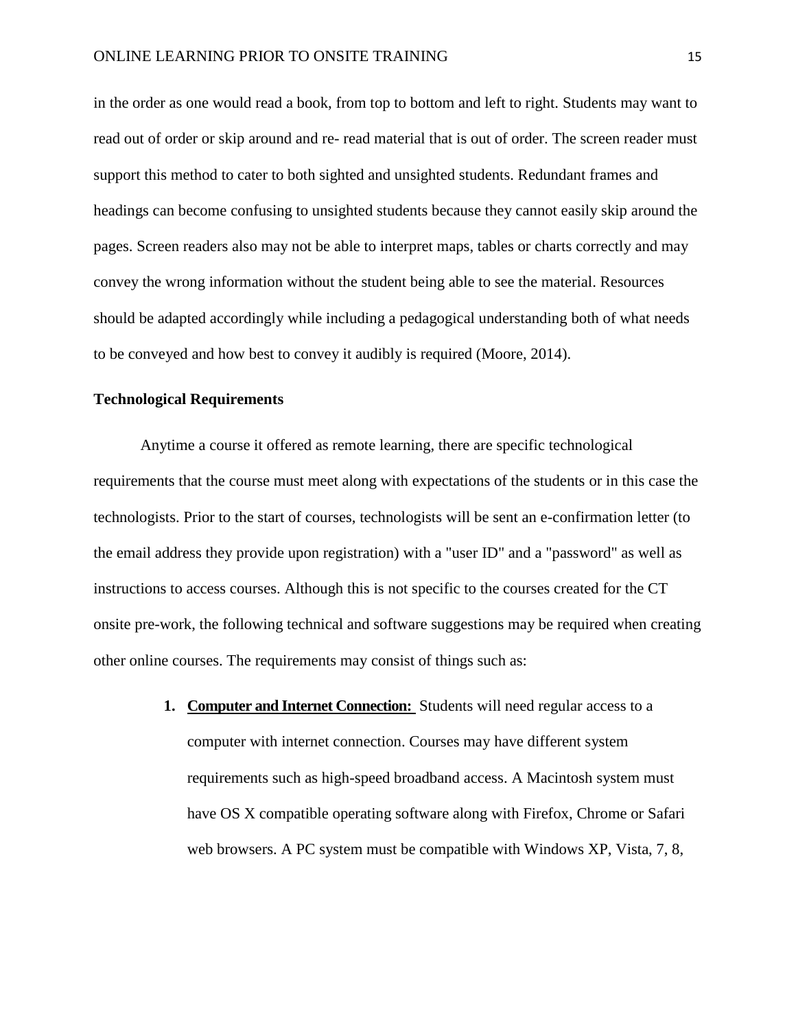in the order as one would read a book, from top to bottom and left to right. Students may want to read out of order or skip around and re- read material that is out of order. The screen reader must support this method to cater to both sighted and unsighted students. Redundant frames and headings can become confusing to unsighted students because they cannot easily skip around the pages. Screen readers also may not be able to interpret maps, tables or charts correctly and may convey the wrong information without the student being able to see the material. Resources should be adapted accordingly while including a pedagogical understanding both of what needs to be conveyed and how best to convey it audibly is required (Moore, 2014).

## **Technological Requirements**

Anytime a course it offered as remote learning, there are specific technological requirements that the course must meet along with expectations of the students or in this case the technologists. Prior to the start of courses, technologists will be sent an e-confirmation letter (to the email address they provide upon registration) with a "user ID" and a "password" as well as instructions to access courses. Although this is not specific to the courses created for the CT onsite pre-work, the following technical and software suggestions may be required when creating other online courses. The requirements may consist of things such as:

> **1. Computer and Internet Connection:** Students will need regular access to a computer with internet connection. Courses may have different system requirements such as high-speed broadband access. A Macintosh system must have OS X compatible operating software along with Firefox, Chrome or Safari web browsers. A PC system must be compatible with Windows XP, Vista, 7, 8,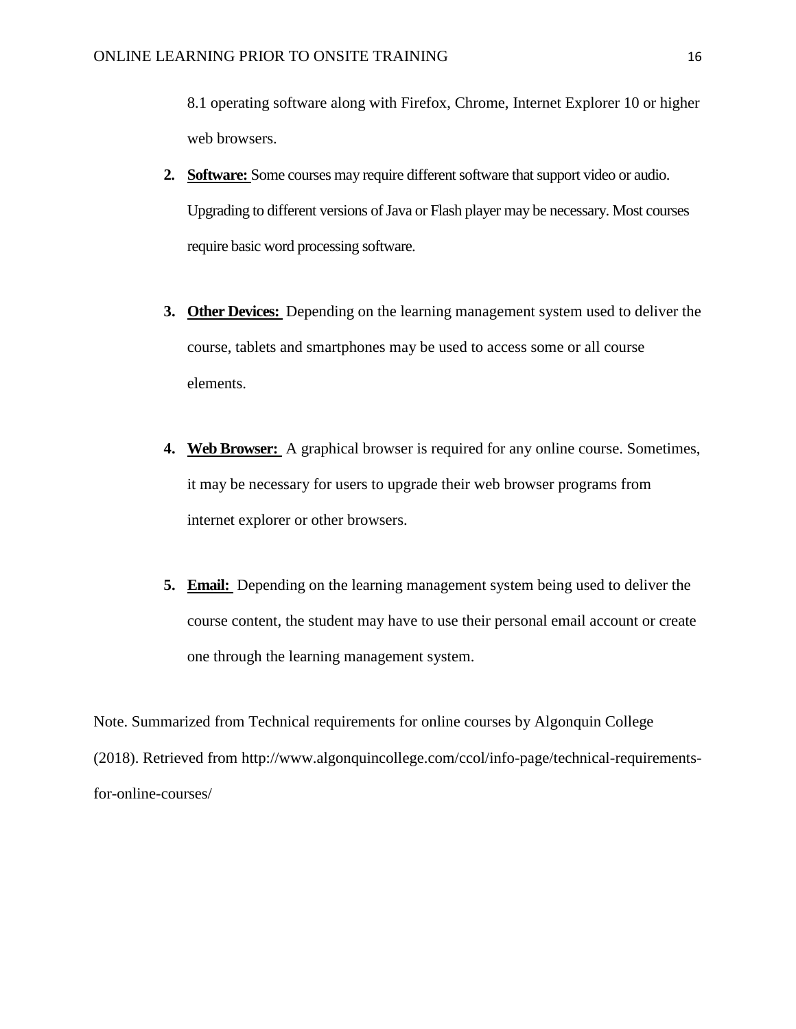8.1 operating software along with Firefox, Chrome, Internet Explorer 10 or higher web browsers.

- **2. Software:** Some courses may require different software that support video or audio. Upgrading to different versions of Java or Flash player may be necessary. Most courses require basic word processing software.
- **3. Other Devices:** Depending on the learning management system used to deliver the course, tablets and smartphones may be used to access some or all course elements.
- **4. Web Browser:** A graphical browser is required for any online course. Sometimes, it may be necessary for users to upgrade their web browser programs from internet explorer or other browsers.
- **5. Email:** Depending on the learning management system being used to deliver the course content, the student may have to use their personal email account or create one through the learning management system.

Note. Summarized from Technical requirements for online courses by Algonquin College (2018). Retrieved from http://www.algonquincollege.com/ccol/info-page/technical-requirementsfor-online-courses/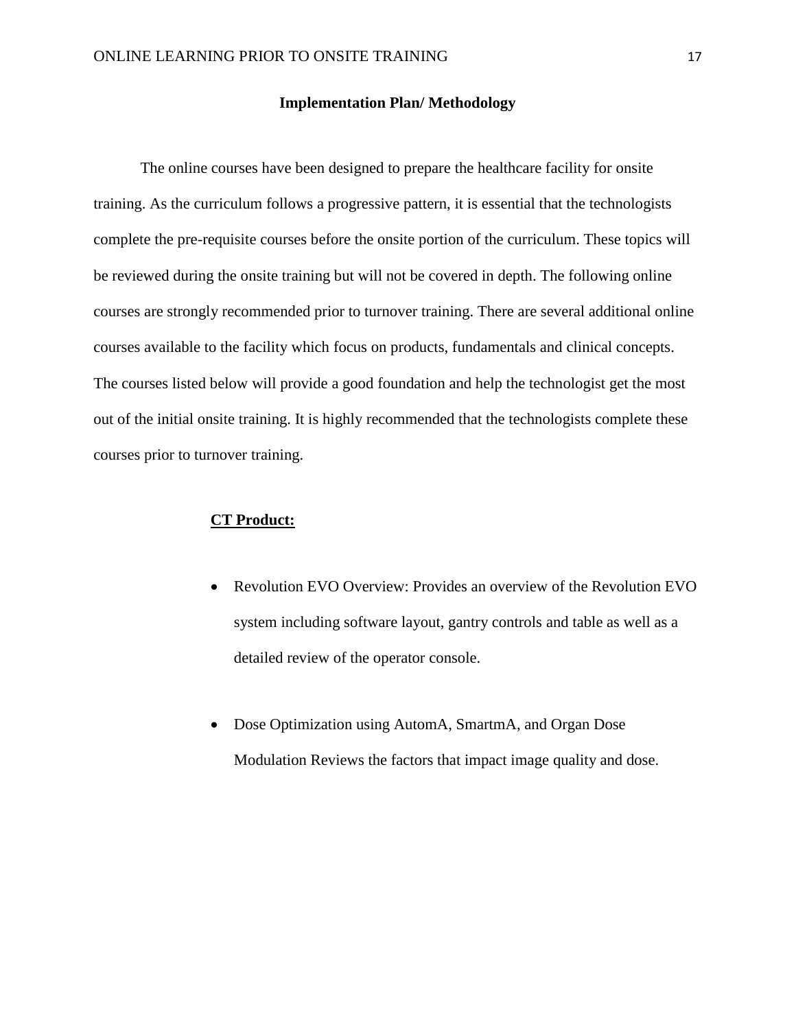#### **Implementation Plan/ Methodology**

The online courses have been designed to prepare the healthcare facility for onsite training. As the curriculum follows a progressive pattern, it is essential that the technologists complete the pre-requisite courses before the onsite portion of the curriculum. These topics will be reviewed during the onsite training but will not be covered in depth. The following online courses are strongly recommended prior to turnover training. There are several additional online courses available to the facility which focus on products, fundamentals and clinical concepts. The courses listed below will provide a good foundation and help the technologist get the most out of the initial onsite training. It is highly recommended that the technologists complete these courses prior to turnover training.

#### **CT Product:**

- Revolution EVO Overview: Provides an overview of the Revolution EVO system including software layout, gantry controls and table as well as a detailed review of the operator console.
- Dose Optimization using AutomA, SmartmA, and Organ Dose Modulation Reviews the factors that impact image quality and dose.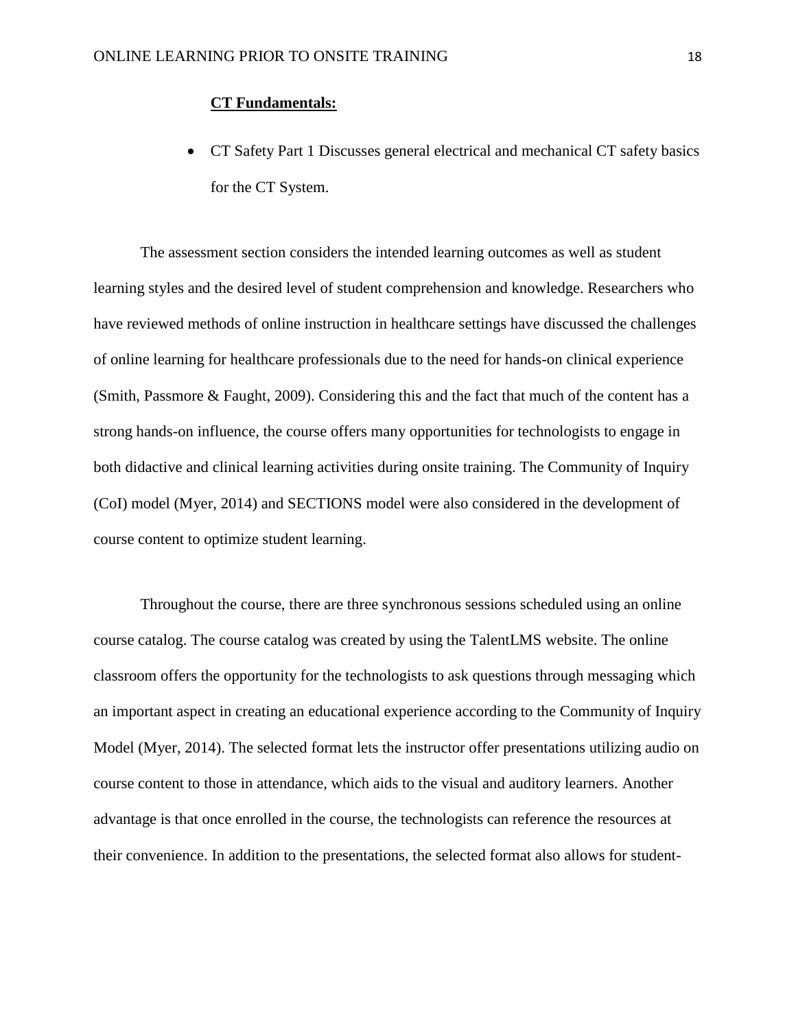## **CT Fundamentals:**

• CT Safety Part 1 Discusses general electrical and mechanical CT safety basics for the CT System.

The assessment section considers the intended learning outcomes as well as student learning styles and the desired level of student comprehension and knowledge. Researchers who have reviewed methods of online instruction in healthcare settings have discussed the challenges of online learning for healthcare professionals due to the need for hands-on clinical experience (Smith, Passmore & Faught, 2009). Considering this and the fact that much of the content has a strong hands-on influence, the course offers many opportunities for technologists to engage in both didactive and clinical learning activities during onsite training. The Community of Inquiry (CoI) model (Myer, 2014) and SECTIONS model were also considered in the development of course content to optimize student learning.

Throughout the course, there are three synchronous sessions scheduled using an online course catalog. The course catalog was created by using the TalentLMS website. The online classroom offers the opportunity for the technologists to ask questions through messaging which an important aspect in creating an educational experience according to the Community of Inquiry Model (Myer, 2014). The selected format lets the instructor offer presentations utilizing audio on course content to those in attendance, which aids to the visual and auditory learners. Another advantage is that once enrolled in the course, the technologists can reference the resources at their convenience. In addition to the presentations, the selected format also allows for student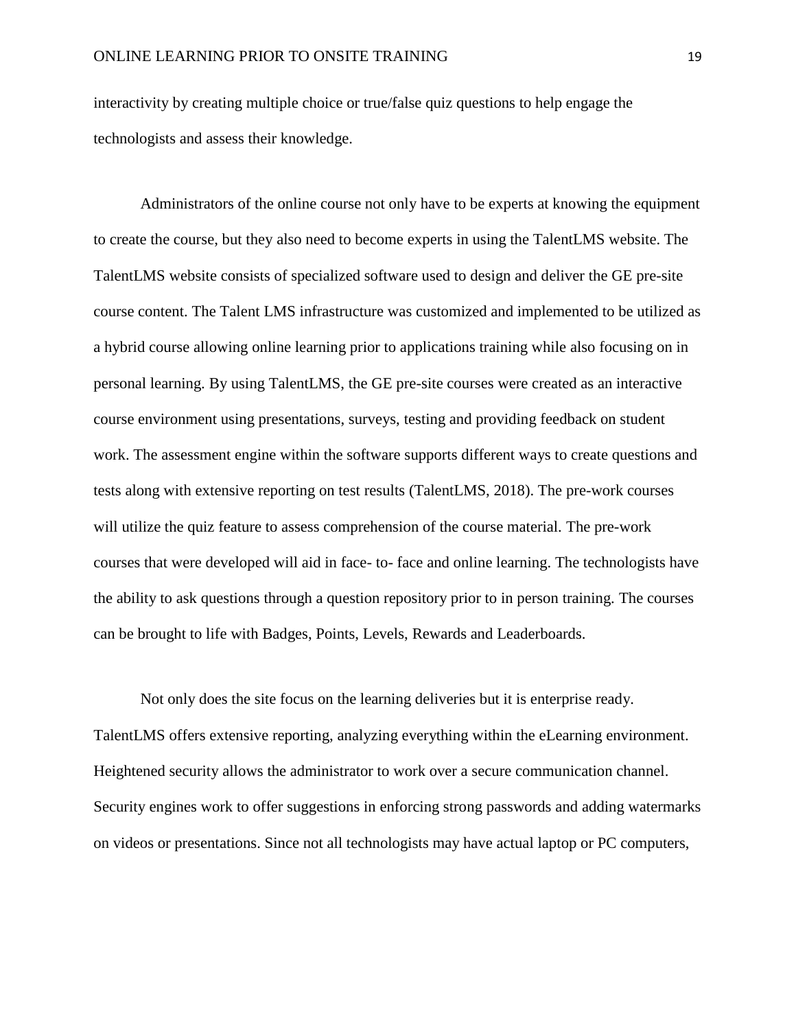interactivity by creating multiple choice or true/false quiz questions to help engage the technologists and assess their knowledge.

Administrators of the online course not only have to be experts at knowing the equipment to create the course, but they also need to become experts in using the TalentLMS website. The TalentLMS website consists of specialized software used to design and deliver the GE pre-site course content. The Talent LMS infrastructure was customized and implemented to be utilized as a hybrid course allowing online learning prior to applications training while also focusing on in personal learning. By using TalentLMS, the GE pre-site courses were created as an interactive course environment using presentations, surveys, testing and providing feedback on student work. The assessment engine within the software supports different ways to create questions and tests along with extensive reporting on test results (TalentLMS, 2018). The pre-work courses will utilize the quiz feature to assess comprehension of the course material. The pre-work courses that were developed will aid in face- to- face and online learning. The technologists have the ability to ask questions through a question repository prior to in person training. The courses can be brought to life with Badges, Points, Levels, Rewards and Leaderboards.

Not only does the site focus on the learning deliveries but it is enterprise ready. TalentLMS offers extensive reporting, analyzing everything within the eLearning environment. Heightened security allows the administrator to work over a secure communication channel. Security engines work to offer suggestions in enforcing strong passwords and adding watermarks on videos or presentations. Since not all technologists may have actual laptop or PC computers,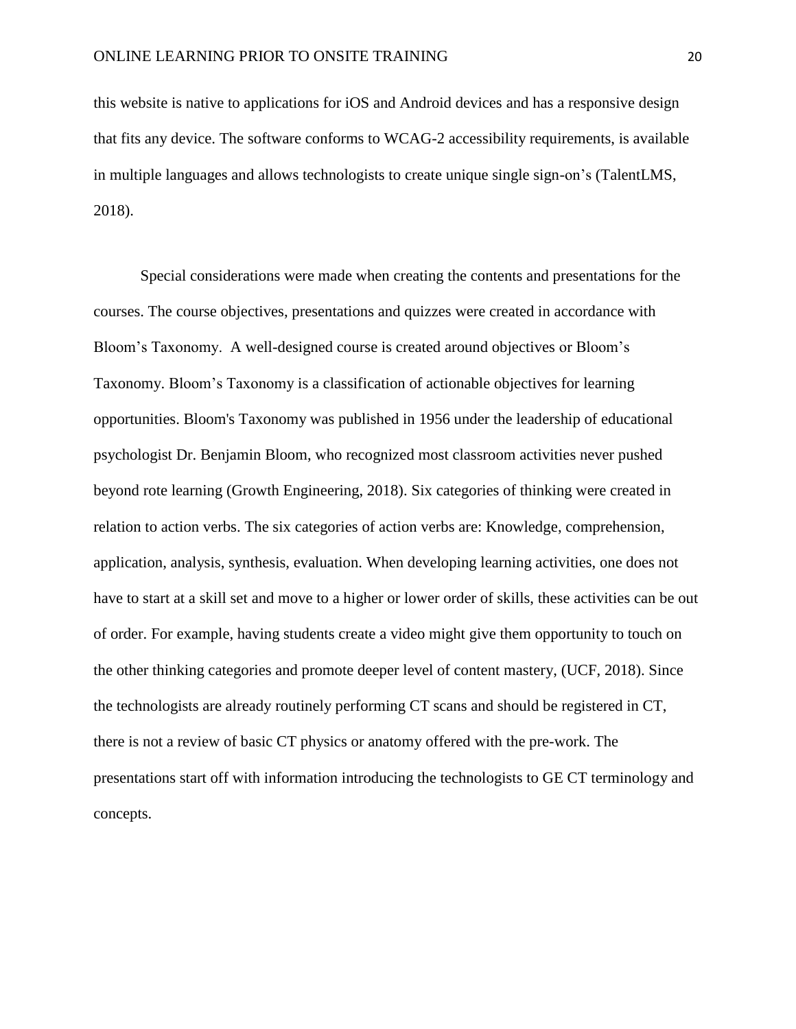this website is native to applications for iOS and Android devices and has a responsive design that fits any device. The software conforms to WCAG-2 accessibility requirements, is available in multiple languages and allows technologists to create unique single sign-on's (TalentLMS, 2018).

Special considerations were made when creating the contents and presentations for the courses. The course objectives, presentations and quizzes were created in accordance with Bloom's Taxonomy. A well-designed course is created around objectives or Bloom's Taxonomy. Bloom's Taxonomy is a classification of actionable objectives for learning opportunities. Bloom's Taxonomy was published in 1956 under the leadership of educational psychologist Dr. Benjamin Bloom, who recognized most classroom activities never pushed beyond rote learning (Growth Engineering, 2018). Six categories of thinking were created in relation to action verbs. The six categories of action verbs are: Knowledge, comprehension, application, analysis, synthesis, evaluation. When developing learning activities, one does not have to start at a skill set and move to a higher or lower order of skills, these activities can be out of order. For example, having students create a video might give them opportunity to touch on the other thinking categories and promote deeper level of content mastery, (UCF, 2018). Since the technologists are already routinely performing CT scans and should be registered in CT, there is not a review of basic CT physics or anatomy offered with the pre-work. The presentations start off with information introducing the technologists to GE CT terminology and concepts.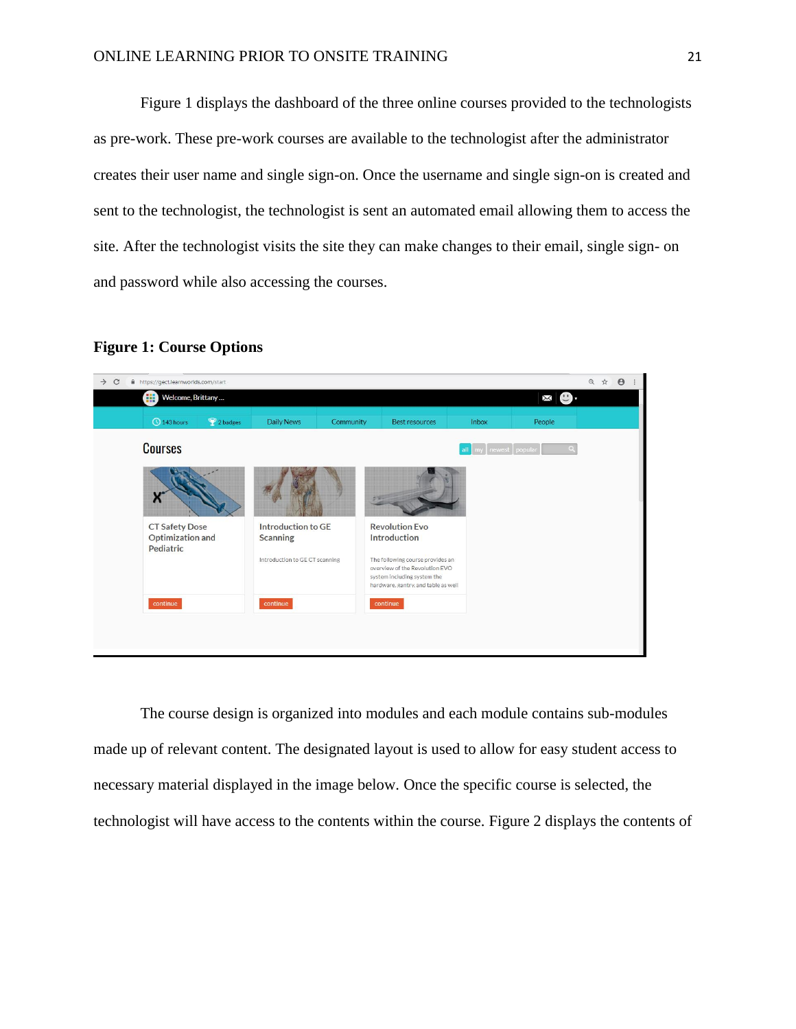Figure 1 displays the dashboard of the three online courses provided to the technologists as pre-work. These pre-work courses are available to the technologist after the administrator creates their user name and single sign-on. Once the username and single sign-on is created and sent to the technologist, the technologist is sent an automated email allowing them to access the site. After the technologist visits the site they can make changes to their email, single sign- on and password while also accessing the courses.

## **Figure 1: Course Options**



The course design is organized into modules and each module contains sub-modules made up of relevant content. The designated layout is used to allow for easy student access to necessary material displayed in the image below. Once the specific course is selected, the technologist will have access to the contents within the course. Figure 2 displays the contents of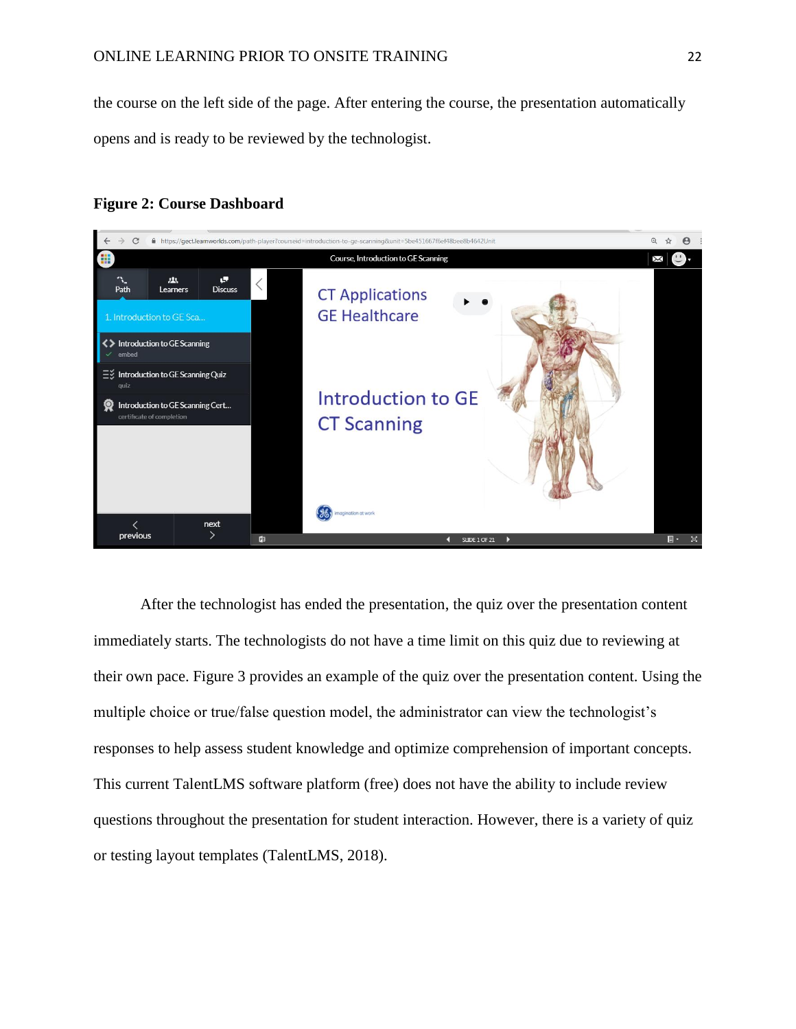the course on the left side of the page. After entering the course, the presentation automatically opens and is ready to be reviewed by the technologist.

#### **Figure 2: Course Dashboard**



After the technologist has ended the presentation, the quiz over the presentation content immediately starts. The technologists do not have a time limit on this quiz due to reviewing at their own pace. Figure 3 provides an example of the quiz over the presentation content. Using the multiple choice or true/false question model, the administrator can view the technologist's responses to help assess student knowledge and optimize comprehension of important concepts. This current TalentLMS software platform (free) does not have the ability to include review questions throughout the presentation for student interaction. However, there is a variety of quiz or testing layout templates (TalentLMS, 2018).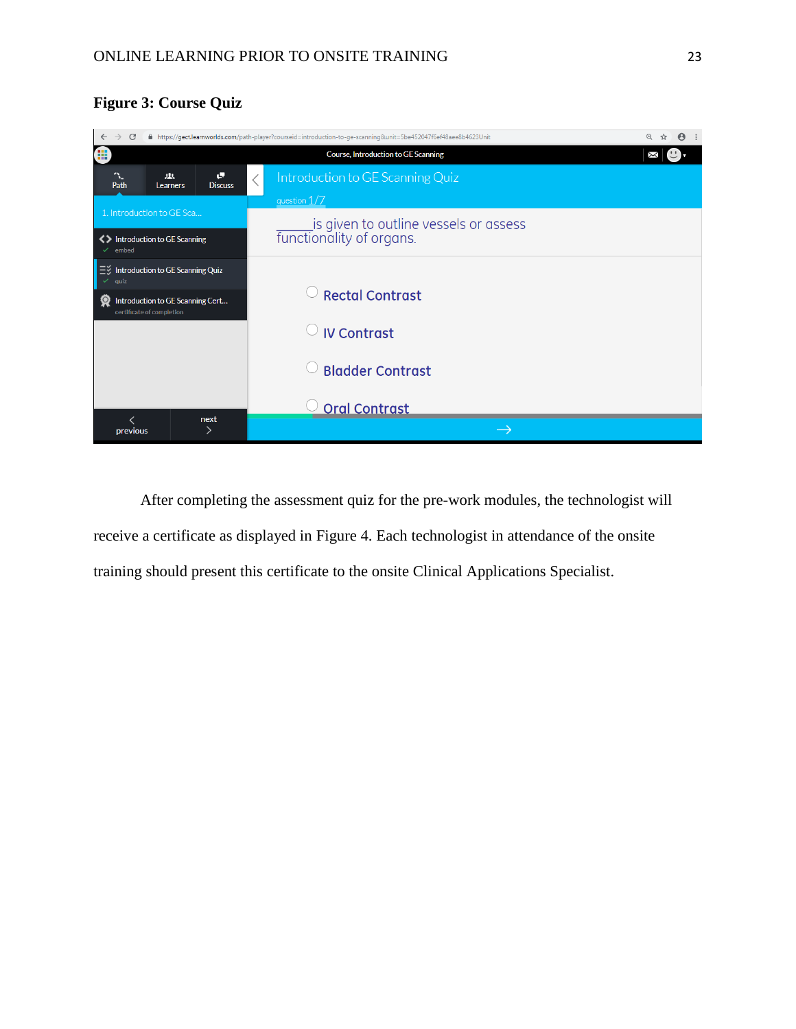# **Figure 3: Course Quiz**



After completing the assessment quiz for the pre-work modules, the technologist will receive a certificate as displayed in Figure 4. Each technologist in attendance of the onsite training should present this certificate to the onsite Clinical Applications Specialist.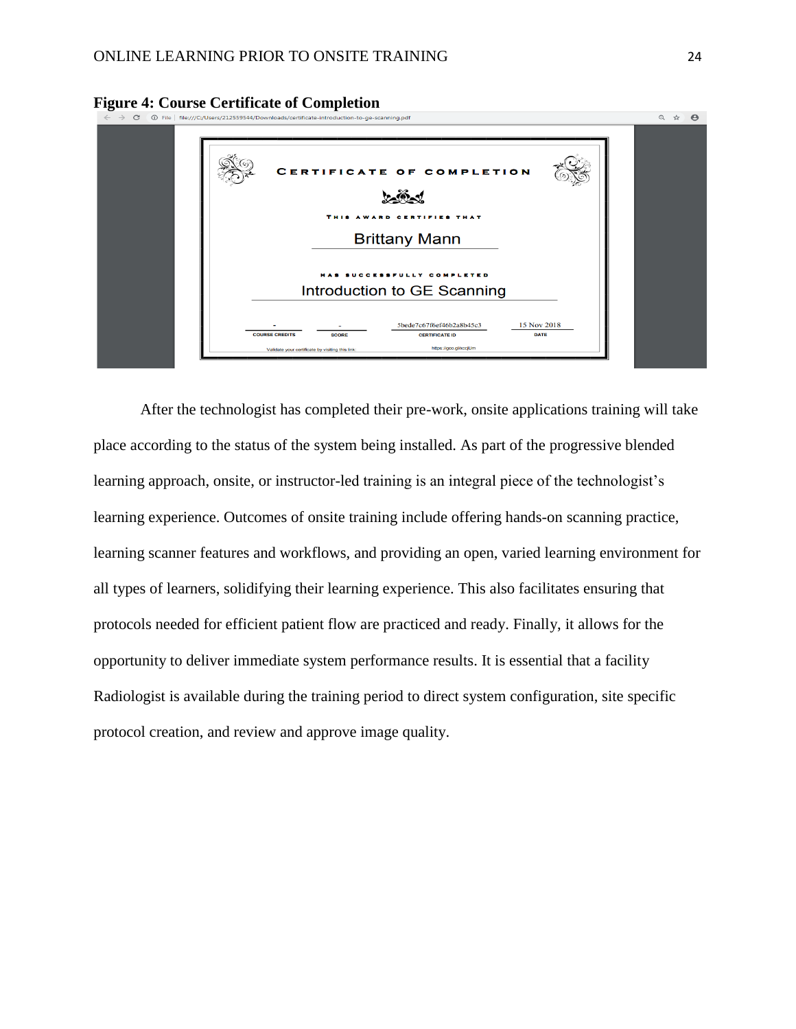

**Figure 4: Course Certificate of Completion**<br>  $\leftarrow \rightarrow \circ$  **0** File | file:///C:/Users/212559544/Downloads/certificate-introduction-to-ge-scanning.pdf

After the technologist has completed their pre-work, onsite applications training will take place according to the status of the system being installed. As part of the progressive blended learning approach, onsite, or instructor-led training is an integral piece of the technologist's learning experience. Outcomes of onsite training include offering hands-on scanning practice, learning scanner features and workflows, and providing an open, varied learning environment for all types of learners, solidifying their learning experience. This also facilitates ensuring that protocols needed for efficient patient flow are practiced and ready. Finally, it allows for the opportunity to deliver immediate system performance results. It is essential that a facility Radiologist is available during the training period to direct system configuration, site specific protocol creation, and review and approve image quality.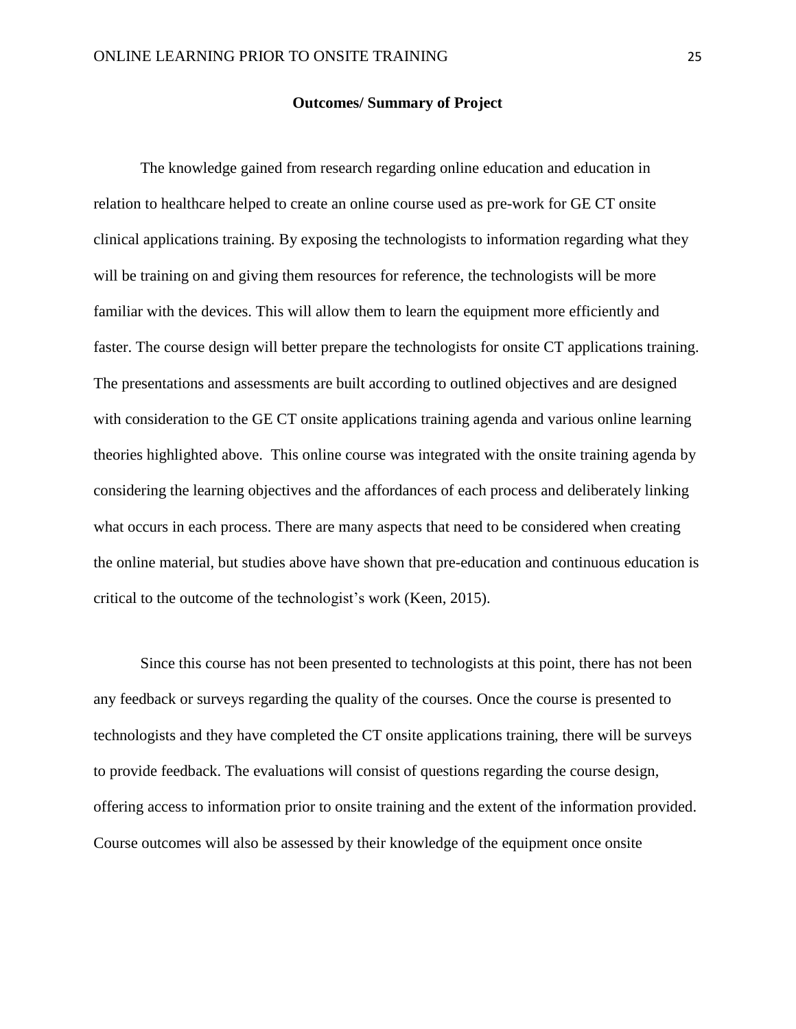#### **Outcomes/ Summary of Project**

The knowledge gained from research regarding online education and education in relation to healthcare helped to create an online course used as pre-work for GE CT onsite clinical applications training. By exposing the technologists to information regarding what they will be training on and giving them resources for reference, the technologists will be more familiar with the devices. This will allow them to learn the equipment more efficiently and faster. The course design will better prepare the technologists for onsite CT applications training. The presentations and assessments are built according to outlined objectives and are designed with consideration to the GE CT onsite applications training agenda and various online learning theories highlighted above. This online course was integrated with the onsite training agenda by considering the learning objectives and the affordances of each process and deliberately linking what occurs in each process. There are many aspects that need to be considered when creating the online material, but studies above have shown that pre-education and continuous education is critical to the outcome of the technologist's work (Keen, 2015).

Since this course has not been presented to technologists at this point, there has not been any feedback or surveys regarding the quality of the courses. Once the course is presented to technologists and they have completed the CT onsite applications training, there will be surveys to provide feedback. The evaluations will consist of questions regarding the course design, offering access to information prior to onsite training and the extent of the information provided. Course outcomes will also be assessed by their knowledge of the equipment once onsite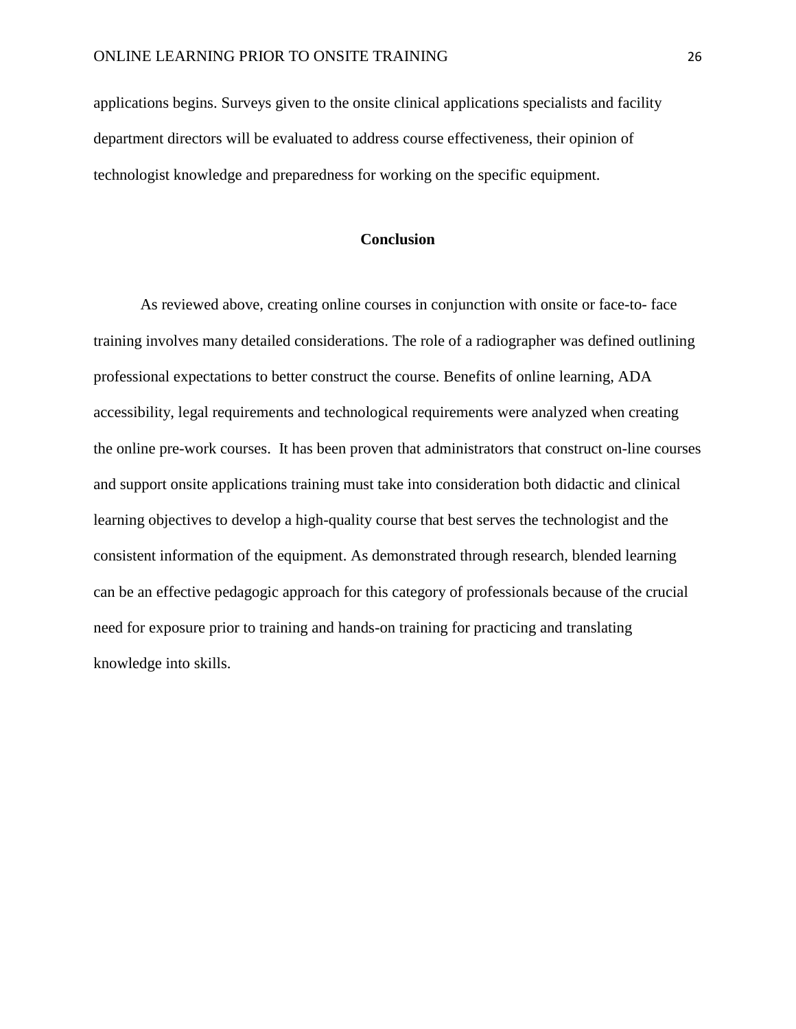applications begins. Surveys given to the onsite clinical applications specialists and facility department directors will be evaluated to address course effectiveness, their opinion of technologist knowledge and preparedness for working on the specific equipment.

## **Conclusion**

As reviewed above, creating online courses in conjunction with onsite or face-to- face training involves many detailed considerations. The role of a radiographer was defined outlining professional expectations to better construct the course. Benefits of online learning, ADA accessibility, legal requirements and technological requirements were analyzed when creating the online pre-work courses. It has been proven that administrators that construct on-line courses and support onsite applications training must take into consideration both didactic and clinical learning objectives to develop a high-quality course that best serves the technologist and the consistent information of the equipment. As demonstrated through research, blended learning can be an effective pedagogic approach for this category of professionals because of the crucial need for exposure prior to training and hands-on training for practicing and translating knowledge into skills.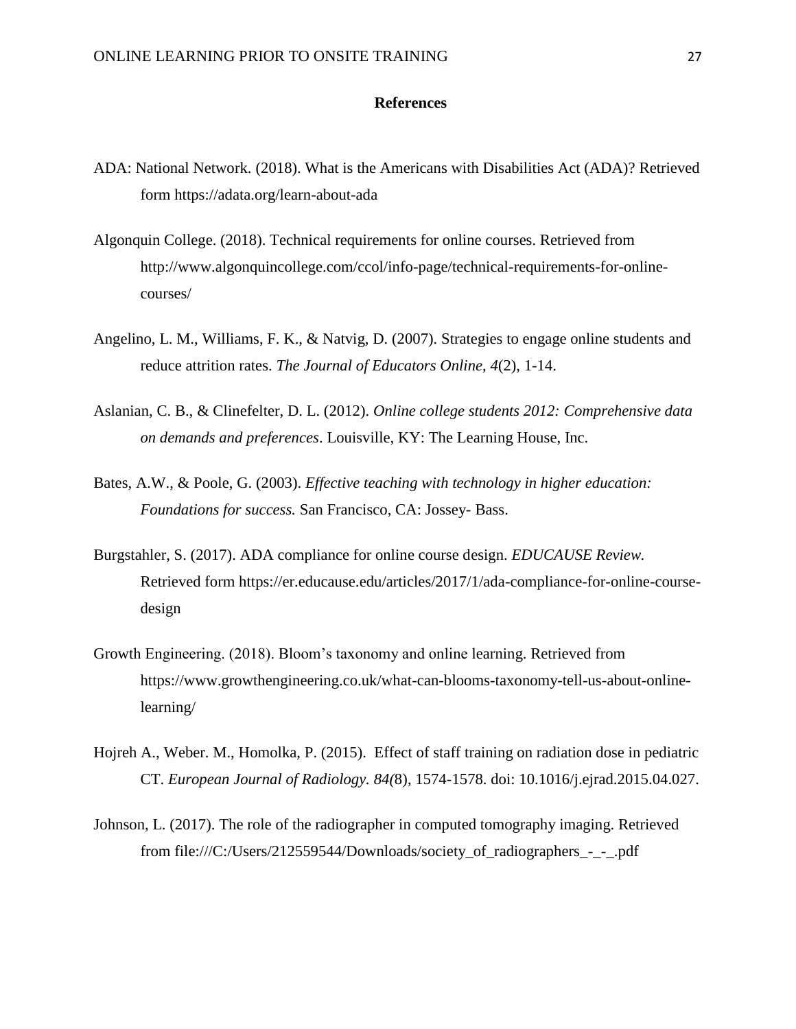#### **References**

- ADA: National Network. (2018). What is the Americans with Disabilities Act (ADA)? Retrieved form https://adata.org/learn-about-ada
- Algonquin College. (2018). Technical requirements for online courses. Retrieved from http://www.algonquincollege.com/ccol/info-page/technical-requirements-for-onlinecourses/
- Angelino, L. M., Williams, F. K., & Natvig, D. (2007). Strategies to engage online students and reduce attrition rates. *The Journal of Educators Online, 4*(2), 1-14.
- Aslanian, C. B., & Clinefelter, D. L. (2012). *Online college students 2012: Comprehensive data on demands and preferences*. Louisville, KY: The Learning House, Inc.
- Bates, A.W., & Poole, G. (2003). *Effective teaching with technology in higher education: Foundations for success.* San Francisco, CA: Jossey- Bass.
- Burgstahler, S. (2017). ADA compliance for online course design. *EDUCAUSE Review.* Retrieved form https://er.educause.edu/articles/2017/1/ada-compliance-for-online-coursedesign
- Growth Engineering. (2018). Bloom's taxonomy and online learning. Retrieved from https://www.growthengineering.co.uk/what-can-blooms-taxonomy-tell-us-about-onlinelearning/
- Hojreh A., Weber. M., Homolka, P. (2015). Effect of staff training on radiation dose in pediatric CT. *European Journal of Radiology. 84(*8), 1574-1578. doi: 10.1016/j.ejrad.2015.04.027.
- Johnson, L. (2017). The role of the radiographer in computed tomography imaging. Retrieved from file:///C:/Users/212559544/Downloads/society\_of\_radiographers\_-\_-\_.pdf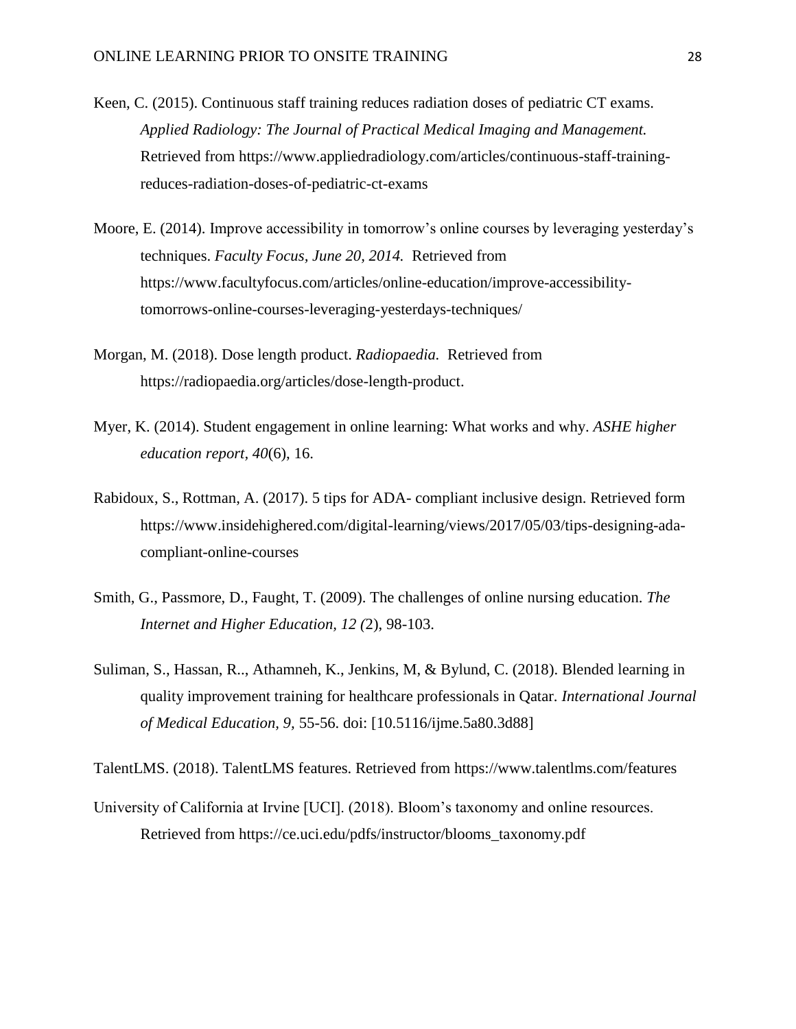- Keen, C. (2015). Continuous staff training reduces radiation doses of pediatric CT exams. *Applied Radiology: The Journal of Practical Medical Imaging and Management.* Retrieved from https://www.appliedradiology.com/articles/continuous-staff-trainingreduces-radiation-doses-of-pediatric-ct-exams
- Moore, E. (2014). Improve accessibility in tomorrow's online courses by leveraging yesterday's techniques. *Faculty Focus, June 20, 2014.* Retrieved from https://www.facultyfocus.com/articles/online-education/improve-accessibilitytomorrows-online-courses-leveraging-yesterdays-techniques/
- Morgan, M. (2018). Dose length product. *Radiopaedia.* Retrieved from https://radiopaedia.org/articles/dose-length-product.
- Myer, K. (2014). Student engagement in online learning: What works and why. *ASHE higher education report, 40*(6), 16.
- Rabidoux, S., Rottman, A. (2017). 5 tips for ADA- compliant inclusive design. Retrieved form https://www.insidehighered.com/digital-learning/views/2017/05/03/tips-designing-adacompliant-online-courses
- Smith, G., Passmore, D., Faught, T. (2009). The challenges of online nursing education. *The Internet and Higher Education, 12 (*2), 98-103.
- Suliman, S., Hassan, R.., Athamneh, K., Jenkins, M, & Bylund, C. (2018). Blended learning in quality improvement training for healthcare professionals in Qatar. *International Journal of Medical Education, 9,* 55-56. doi: [10.5116/ijme.5a80.3d88]

TalentLMS. (2018). TalentLMS features. Retrieved from https://www.talentlms.com/features

University of California at Irvine [UCI]. (2018). Bloom's taxonomy and online resources. Retrieved from https://ce.uci.edu/pdfs/instructor/blooms\_taxonomy.pdf